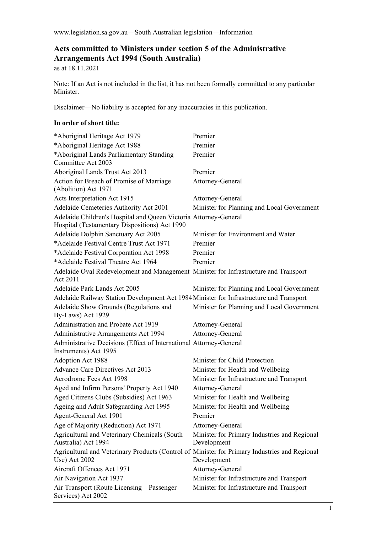## **Acts committed to Ministers under section 5 of the Administrative Arrangements Act 1994 (South Australia)**

as at 18.11.2021

Note: If an Act is not included in the list, it has not been formally committed to any particular Minister.

Disclaimer—No liability is accepted for any inaccuracies in this publication.

## **In order of short title:**

| *Aboriginal Heritage Act 1979                                                                                     | Premier                                                     |  |
|-------------------------------------------------------------------------------------------------------------------|-------------------------------------------------------------|--|
| *Aboriginal Heritage Act 1988                                                                                     | Premier                                                     |  |
| *Aboriginal Lands Parliamentary Standing<br>Committee Act 2003                                                    | Premier                                                     |  |
| Aboriginal Lands Trust Act 2013                                                                                   | Premier                                                     |  |
| Action for Breach of Promise of Marriage<br>(Abolition) Act 1971                                                  | Attorney-General                                            |  |
| Acts Interpretation Act 1915                                                                                      | Attorney-General                                            |  |
| Adelaide Cemeteries Authority Act 2001                                                                            | Minister for Planning and Local Government                  |  |
| Adelaide Children's Hospital and Queen Victoria Attorney-General<br>Hospital (Testamentary Dispositions) Act 1990 |                                                             |  |
| Adelaide Dolphin Sanctuary Act 2005                                                                               | Minister for Environment and Water                          |  |
| *Adelaide Festival Centre Trust Act 1971                                                                          | Premier                                                     |  |
| *Adelaide Festival Corporation Act 1998                                                                           | Premier                                                     |  |
| *Adelaide Festival Theatre Act 1964                                                                               | Premier                                                     |  |
| Adelaide Oval Redevelopment and Management Minister for Infrastructure and Transport<br>Act 2011                  |                                                             |  |
| Adelaide Park Lands Act 2005                                                                                      | Minister for Planning and Local Government                  |  |
| Adelaide Railway Station Development Act 1984 Minister for Infrastructure and Transport                           |                                                             |  |
| Adelaide Show Grounds (Regulations and<br>By-Laws) Act 1929                                                       | Minister for Planning and Local Government                  |  |
| Administration and Probate Act 1919                                                                               | Attorney-General                                            |  |
| Administrative Arrangements Act 1994                                                                              | Attorney-General                                            |  |
| Administrative Decisions (Effect of International Attorney-General<br>Instruments) Act 1995                       |                                                             |  |
| Adoption Act 1988                                                                                                 | Minister for Child Protection                               |  |
| <b>Advance Care Directives Act 2013</b>                                                                           | Minister for Health and Wellbeing                           |  |
| Aerodrome Fees Act 1998                                                                                           | Minister for Infrastructure and Transport                   |  |
| Aged and Infirm Persons' Property Act 1940                                                                        | Attorney-General                                            |  |
| Aged Citizens Clubs (Subsidies) Act 1963                                                                          | Minister for Health and Wellbeing                           |  |
| Ageing and Adult Safeguarding Act 1995                                                                            | Minister for Health and Wellbeing                           |  |
| Agent-General Act 1901                                                                                            | Premier                                                     |  |
| Age of Majority (Reduction) Act 1971                                                                              | Attorney-General                                            |  |
| Agricultural and Veterinary Chemicals (South<br>Australia) Act 1994                                               | Minister for Primary Industries and Regional<br>Development |  |
| Agricultural and Veterinary Products (Control of Minister for Primary Industries and Regional<br>Use) Act 2002    | Development                                                 |  |
| Aircraft Offences Act 1971                                                                                        | Attorney-General                                            |  |
| Air Navigation Act 1937                                                                                           | Minister for Infrastructure and Transport                   |  |
| Air Transport (Route Licensing-Passenger<br>Services) Act 2002                                                    | Minister for Infrastructure and Transport                   |  |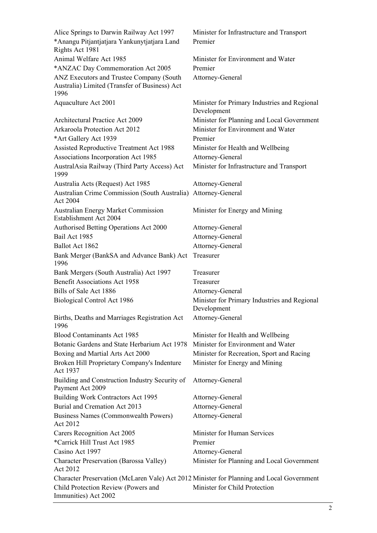| Alice Springs to Darwin Railway Act 1997                                                          | Minister for Infrastructure and Transport                   |  |
|---------------------------------------------------------------------------------------------------|-------------------------------------------------------------|--|
| *Anangu Pitjantjatjara Yankunytjatjara Land<br>Rights Act 1981                                    | Premier                                                     |  |
| Animal Welfare Act 1985                                                                           | Minister for Environment and Water                          |  |
| *ANZAC Day Commemoration Act 2005                                                                 | Premier                                                     |  |
| ANZ Executors and Trustee Company (South<br>Australia) Limited (Transfer of Business) Act<br>1996 | Attorney-General                                            |  |
| Aquaculture Act 2001                                                                              | Minister for Primary Industries and Regional<br>Development |  |
| <b>Architectural Practice Act 2009</b>                                                            | Minister for Planning and Local Government                  |  |
| Arkaroola Protection Act 2012                                                                     | Minister for Environment and Water                          |  |
| *Art Gallery Act 1939                                                                             | Premier                                                     |  |
| Assisted Reproductive Treatment Act 1988                                                          | Minister for Health and Wellbeing                           |  |
| Associations Incorporation Act 1985                                                               | Attorney-General                                            |  |
| AustralAsia Railway (Third Party Access) Act<br>1999                                              | Minister for Infrastructure and Transport                   |  |
| Australia Acts (Request) Act 1985                                                                 | Attorney-General                                            |  |
| Australian Crime Commission (South Australia)<br>Act 2004                                         | Attorney-General                                            |  |
| Australian Energy Market Commission<br>Establishment Act 2004                                     | Minister for Energy and Mining                              |  |
| Authorised Betting Operations Act 2000                                                            | Attorney-General                                            |  |
| Bail Act 1985                                                                                     | Attorney-General                                            |  |
| Ballot Act 1862                                                                                   | Attorney-General                                            |  |
| Bank Merger (BankSA and Advance Bank) Act<br>1996                                                 | Treasurer                                                   |  |
| Bank Mergers (South Australia) Act 1997                                                           | Treasurer                                                   |  |
| <b>Benefit Associations Act 1958</b>                                                              | Treasurer                                                   |  |
| Bills of Sale Act 1886                                                                            | Attorney-General                                            |  |
| Biological Control Act 1986                                                                       | Minister for Primary Industries and Regional<br>Development |  |
| Births, Deaths and Marriages Registration Act<br>1996                                             | Attorney-General                                            |  |
| <b>Blood Contaminants Act 1985</b>                                                                | Minister for Health and Wellbeing                           |  |
| Botanic Gardens and State Herbarium Act 1978                                                      | Minister for Environment and Water                          |  |
| Boxing and Martial Arts Act 2000                                                                  | Minister for Recreation, Sport and Racing                   |  |
| Broken Hill Proprietary Company's Indenture<br>Act 1937                                           | Minister for Energy and Mining                              |  |
| Building and Construction Industry Security of<br>Payment Act 2009                                | Attorney-General                                            |  |
| Building Work Contractors Act 1995                                                                | Attorney-General                                            |  |
| Burial and Cremation Act 2013                                                                     | Attorney-General                                            |  |
| Business Names (Commonwealth Powers)<br>Act 2012                                                  | Attorney-General                                            |  |
| Carers Recognition Act 2005                                                                       | Minister for Human Services                                 |  |
| *Carrick Hill Trust Act 1985                                                                      | Premier                                                     |  |
| Casino Act 1997                                                                                   | Attorney-General                                            |  |
| <b>Character Preservation (Barossa Valley)</b><br>Act 2012                                        | Minister for Planning and Local Government                  |  |
| Character Preservation (McLaren Vale) Act 2012 Minister for Planning and Local Government         |                                                             |  |
| Child Protection Review (Powers and<br>Immunities) Act 2002                                       | Minister for Child Protection                               |  |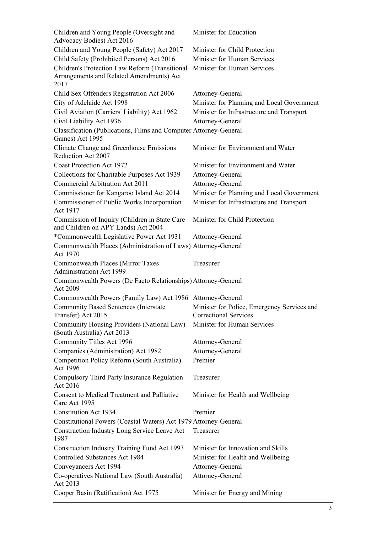| Children and Young People (Oversight and<br>Advocacy Bodies) Act 2016                              | Minister for Education                                                      |
|----------------------------------------------------------------------------------------------------|-----------------------------------------------------------------------------|
| Children and Young People (Safety) Act 2017                                                        | Minister for Child Protection                                               |
| Child Safety (Prohibited Persons) Act 2016                                                         | Minister for Human Services                                                 |
| Children's Protection Law Reform (Transitional<br>Arrangements and Related Amendments) Act<br>2017 | Minister for Human Services                                                 |
| Child Sex Offenders Registration Act 2006                                                          | Attorney-General                                                            |
| City of Adelaide Act 1998                                                                          | Minister for Planning and Local Government                                  |
| Civil Aviation (Carriers' Liability) Act 1962                                                      | Minister for Infrastructure and Transport                                   |
| Civil Liability Act 1936                                                                           | Attorney-General                                                            |
| Classification (Publications, Films and Computer Attorney-General<br>Games) Act 1995               |                                                                             |
| Climate Change and Greenhouse Emissions<br>Reduction Act 2007                                      | Minister for Environment and Water                                          |
| <b>Coast Protection Act 1972</b>                                                                   | Minister for Environment and Water                                          |
| Collections for Charitable Purposes Act 1939                                                       | Attorney-General                                                            |
| <b>Commercial Arbitration Act 2011</b>                                                             | Attorney-General                                                            |
| Commissioner for Kangaroo Island Act 2014                                                          | Minister for Planning and Local Government                                  |
| Commissioner of Public Works Incorporation<br>Act 1917                                             | Minister for Infrastructure and Transport                                   |
| Commission of Inquiry (Children in State Care<br>and Children on APY Lands) Act 2004               | Minister for Child Protection                                               |
| *Commonwealth Legislative Power Act 1931                                                           | Attorney-General                                                            |
| Commonwealth Places (Administration of Laws) Attorney-General<br>Act 1970                          |                                                                             |
| <b>Commonwealth Places (Mirror Taxes</b><br>Administration) Act 1999                               | Treasurer                                                                   |
| Commonwealth Powers (De Facto Relationships) Attorney-General<br>Act 2009                          |                                                                             |
| Commonwealth Powers (Family Law) Act 1986 Attorney-General                                         |                                                                             |
| <b>Community Based Sentences (Interstate</b><br>Transfer) Act 2015                                 | Minister for Police, Emergency Services and<br><b>Correctional Services</b> |
| Community Housing Providers (National Law)<br>(South Australia) Act 2013                           | Minister for Human Services                                                 |
| Community Titles Act 1996                                                                          | Attorney-General                                                            |
| Companies (Administration) Act 1982                                                                | Attorney-General                                                            |
| Competition Policy Reform (South Australia)<br>Act 1996                                            | Premier                                                                     |
| Compulsory Third Party Insurance Regulation<br>Act 2016                                            | Treasurer                                                                   |
| <b>Consent to Medical Treatment and Palliative</b><br>Care Act 1995                                | Minister for Health and Wellbeing                                           |
| <b>Constitution Act 1934</b>                                                                       | Premier                                                                     |
| Constitutional Powers (Coastal Waters) Act 1979 Attorney-General                                   |                                                                             |
| Construction Industry Long Service Leave Act<br>1987                                               | Treasurer                                                                   |
| <b>Construction Industry Training Fund Act 1993</b>                                                | Minister for Innovation and Skills                                          |
| <b>Controlled Substances Act 1984</b>                                                              | Minister for Health and Wellbeing                                           |
| Conveyancers Act 1994                                                                              | Attorney-General                                                            |
| Co-operatives National Law (South Australia)<br>Act 2013                                           | Attorney-General                                                            |
| Cooper Basin (Ratification) Act 1975                                                               | Minister for Energy and Mining                                              |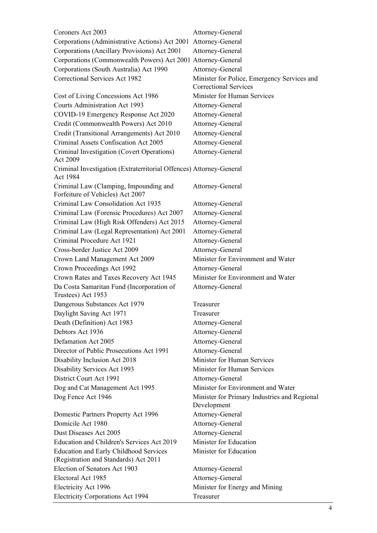| Coroners Act 2003                                                                      | Attorney-General                                                            |  |
|----------------------------------------------------------------------------------------|-----------------------------------------------------------------------------|--|
| Corporations (Administrative Actions) Act 2001                                         | Attorney-General                                                            |  |
| Corporations (Ancillary Provisions) Act 2001                                           | Attorney-General                                                            |  |
| Corporations (Commonwealth Powers) Act 2001 Attorney-General                           |                                                                             |  |
| Corporations (South Australia) Act 1990                                                | Attorney-General                                                            |  |
| Correctional Services Act 1982                                                         | Minister for Police, Emergency Services and<br><b>Correctional Services</b> |  |
| Cost of Living Concessions Act 1986                                                    | Minister for Human Services                                                 |  |
| <b>Courts Administration Act 1993</b>                                                  | Attorney-General                                                            |  |
| COVID-19 Emergency Response Act 2020                                                   | Attorney-General                                                            |  |
| Credit (Commonwealth Powers) Act 2010                                                  | Attorney-General                                                            |  |
| Credit (Transitional Arrangements) Act 2010                                            | Attorney-General                                                            |  |
| Criminal Assets Confiscation Act 2005                                                  | Attorney-General                                                            |  |
| Criminal Investigation (Covert Operations)<br>Act 2009                                 | Attorney-General                                                            |  |
| Criminal Investigation (Extraterritorial Offences) Attorney-General<br>Act 1984        |                                                                             |  |
| Criminal Law (Clamping, Impounding and<br>Forfeiture of Vehicles) Act 2007             | Attorney-General                                                            |  |
| Criminal Law Consolidation Act 1935                                                    | Attorney-General                                                            |  |
| Criminal Law (Forensic Procedures) Act 2007                                            | Attorney-General                                                            |  |
| Criminal Law (High Risk Offenders) Act 2015                                            | Attorney-General                                                            |  |
| Criminal Law (Legal Representation) Act 2001                                           | Attorney-General                                                            |  |
| Criminal Procedure Act 1921                                                            | Attorney-General                                                            |  |
| Cross-border Justice Act 2009                                                          | Attorney-General                                                            |  |
| Crown Land Management Act 2009                                                         | Minister for Environment and Water                                          |  |
| Crown Proceedings Act 1992                                                             | Attorney-General                                                            |  |
| Crown Rates and Taxes Recovery Act 1945                                                | Minister for Environment and Water                                          |  |
| Da Costa Samaritan Fund (Incorporation of<br>Trustees) Act 1953                        | Attorney-General                                                            |  |
| Dangerous Substances Act 1979                                                          | Treasurer                                                                   |  |
| Daylight Saving Act 1971                                                               | Treasurer                                                                   |  |
| Death (Definition) Act 1983                                                            | Attorney-General                                                            |  |
| Debtors Act 1936                                                                       | Attorney-General                                                            |  |
| Defamation Act 2005                                                                    | Attorney-General                                                            |  |
| Director of Public Prosecutions Act 1991                                               | Attorney-General                                                            |  |
| Disability Inclusion Act 2018                                                          | Minister for Human Services                                                 |  |
| Disability Services Act 1993                                                           | Minister for Human Services                                                 |  |
| District Court Act 1991                                                                | Attorney-General                                                            |  |
| Dog and Cat Management Act 1995                                                        | Minister for Environment and Water                                          |  |
| Dog Fence Act 1946                                                                     | Minister for Primary Industries and Regional<br>Development                 |  |
| Domestic Partners Property Act 1996                                                    | Attorney-General                                                            |  |
| Domicile Act 1980                                                                      | Attorney-General                                                            |  |
| Dust Diseases Act 2005                                                                 | Attorney-General                                                            |  |
| Education and Children's Services Act 2019                                             | Minister for Education                                                      |  |
| <b>Education and Early Childhood Services</b><br>(Registration and Standards) Act 2011 | Minister for Education                                                      |  |
| Election of Senators Act 1903                                                          | Attorney-General                                                            |  |
| Electoral Act 1985                                                                     | Attorney-General                                                            |  |
| Electricity Act 1996                                                                   | Minister for Energy and Mining                                              |  |
| <b>Electricity Corporations Act 1994</b>                                               | Treasurer                                                                   |  |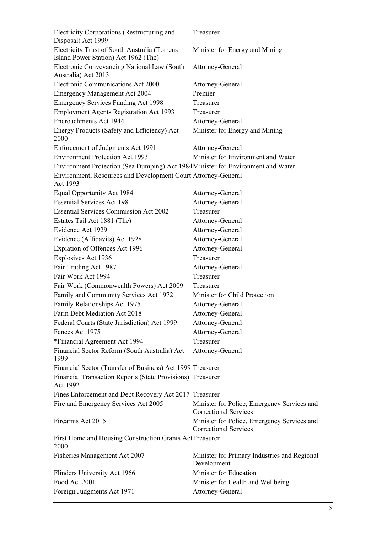| Electricity Corporations (Restructuring and<br>Disposal) Act 1999                     | Treasurer                                                                   |
|---------------------------------------------------------------------------------------|-----------------------------------------------------------------------------|
| Electricity Trust of South Australia (Torrens<br>Island Power Station) Act 1962 (The) | Minister for Energy and Mining                                              |
| Electronic Conveyancing National Law (South<br>Australia) Act 2013                    | Attorney-General                                                            |
| Electronic Communications Act 2000                                                    | Attorney-General                                                            |
| <b>Emergency Management Act 2004</b>                                                  | Premier                                                                     |
| <b>Emergency Services Funding Act 1998</b>                                            | Treasurer                                                                   |
|                                                                                       | Treasurer                                                                   |
| <b>Employment Agents Registration Act 1993</b><br><b>Encroachments Act 1944</b>       |                                                                             |
|                                                                                       | Attorney-General                                                            |
| Energy Products (Safety and Efficiency) Act<br>2000                                   | Minister for Energy and Mining                                              |
| Enforcement of Judgments Act 1991                                                     | Attorney-General                                                            |
| <b>Environment Protection Act 1993</b>                                                | Minister for Environment and Water                                          |
| Environment Protection (Sea Dumping) Act 1984 Minister for Environment and Water      |                                                                             |
| Environment, Resources and Development Court Attorney-General<br>Act 1993             |                                                                             |
| Equal Opportunity Act 1984                                                            | Attorney-General                                                            |
| <b>Essential Services Act 1981</b>                                                    | Attorney-General                                                            |
| <b>Essential Services Commission Act 2002</b>                                         | Treasurer                                                                   |
| Estates Tail Act 1881 (The)                                                           | Attorney-General                                                            |
| Evidence Act 1929                                                                     | Attorney-General                                                            |
| Evidence (Affidavits) Act 1928                                                        | Attorney-General                                                            |
| Expiation of Offences Act 1996                                                        | Attorney-General                                                            |
| Explosives Act 1936                                                                   | Treasurer                                                                   |
| Fair Trading Act 1987                                                                 | Attorney-General                                                            |
| Fair Work Act 1994                                                                    | Treasurer                                                                   |
| Fair Work (Commonwealth Powers) Act 2009                                              | Treasurer                                                                   |
| Family and Community Services Act 1972                                                | Minister for Child Protection                                               |
| Family Relationships Act 1975                                                         |                                                                             |
| Farm Debt Mediation Act 2018                                                          | Attorney-General                                                            |
|                                                                                       | Attorney-General                                                            |
| Federal Courts (State Jurisdiction) Act 1999                                          | Attorney-General                                                            |
| Fences Act 1975                                                                       | Attorney-General                                                            |
| *Financial Agreement Act 1994                                                         | Treasurer                                                                   |
| Financial Sector Reform (South Australia) Act<br>1999                                 | Attorney-General                                                            |
| Financial Sector (Transfer of Business) Act 1999 Treasurer                            |                                                                             |
| Financial Transaction Reports (State Provisions) Treasurer<br>Act 1992                |                                                                             |
| Fines Enforcement and Debt Recovery Act 2017 Treasurer                                |                                                                             |
| Fire and Emergency Services Act 2005                                                  | Minister for Police, Emergency Services and<br><b>Correctional Services</b> |
| Firearms Act 2015                                                                     | Minister for Police, Emergency Services and<br><b>Correctional Services</b> |
| First Home and Housing Construction Grants Act Treasurer<br>2000                      |                                                                             |
| Fisheries Management Act 2007                                                         | Minister for Primary Industries and Regional<br>Development                 |
| Flinders University Act 1966                                                          | Minister for Education                                                      |
| Food Act 2001                                                                         | Minister for Health and Wellbeing                                           |
| Foreign Judgments Act 1971                                                            | Attorney-General                                                            |
|                                                                                       |                                                                             |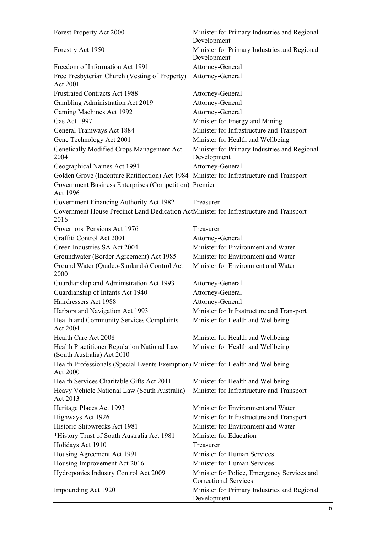| Forest Property Act 2000                                                                       | Minister for Primary Industries and Regional<br>Development                 |  |
|------------------------------------------------------------------------------------------------|-----------------------------------------------------------------------------|--|
| Forestry Act 1950                                                                              | Minister for Primary Industries and Regional<br>Development                 |  |
| Freedom of Information Act 1991                                                                | Attorney-General                                                            |  |
| Free Presbyterian Church (Vesting of Property)<br>Act 2001                                     | Attorney-General                                                            |  |
| <b>Frustrated Contracts Act 1988</b>                                                           | Attorney-General                                                            |  |
| Gambling Administration Act 2019                                                               | Attorney-General                                                            |  |
| Gaming Machines Act 1992                                                                       | Attorney-General                                                            |  |
| Gas Act 1997                                                                                   | Minister for Energy and Mining                                              |  |
| General Tramways Act 1884                                                                      | Minister for Infrastructure and Transport                                   |  |
| Gene Technology Act 2001                                                                       | Minister for Health and Wellbeing                                           |  |
| Genetically Modified Crops Management Act<br>2004                                              | Minister for Primary Industries and Regional<br>Development                 |  |
| Geographical Names Act 1991                                                                    | Attorney-General                                                            |  |
| Golden Grove (Indenture Ratification) Act 1984 Minister for Infrastructure and Transport       |                                                                             |  |
| Government Business Enterprises (Competition) Premier<br>Act 1996                              |                                                                             |  |
| Government Financing Authority Act 1982                                                        | Treasurer                                                                   |  |
| Government House Precinct Land Dedication ActMinister for Infrastructure and Transport<br>2016 |                                                                             |  |
| Governors' Pensions Act 1976                                                                   | Treasurer                                                                   |  |
| Graffiti Control Act 2001                                                                      | Attorney-General                                                            |  |
| Green Industries SA Act 2004                                                                   | Minister for Environment and Water                                          |  |
| Groundwater (Border Agreement) Act 1985                                                        | Minister for Environment and Water                                          |  |
| Ground Water (Qualco-Sunlands) Control Act<br>2000                                             | Minister for Environment and Water                                          |  |
| Guardianship and Administration Act 1993                                                       | Attorney-General                                                            |  |
| Guardianship of Infants Act 1940                                                               | Attorney-General                                                            |  |
| Hairdressers Act 1988                                                                          | Attorney-General                                                            |  |
| Harbors and Navigation Act 1993                                                                | Minister for Infrastructure and Transport                                   |  |
| Health and Community Services Complaints<br>Act 2004                                           | Minister for Health and Wellbeing                                           |  |
| Health Care Act 2008                                                                           | Minister for Health and Wellbeing                                           |  |
| Health Practitioner Regulation National Law<br>(South Australia) Act 2010                      | Minister for Health and Wellbeing                                           |  |
| Health Professionals (Special Events Exemption) Minister for Health and Wellbeing<br>Act 2000  |                                                                             |  |
| Health Services Charitable Gifts Act 2011                                                      | Minister for Health and Wellbeing                                           |  |
| Heavy Vehicle National Law (South Australia)<br>Act 2013                                       | Minister for Infrastructure and Transport                                   |  |
| Heritage Places Act 1993                                                                       | Minister for Environment and Water                                          |  |
| Highways Act 1926                                                                              | Minister for Infrastructure and Transport                                   |  |
| Historic Shipwrecks Act 1981                                                                   | Minister for Environment and Water                                          |  |
| *History Trust of South Australia Act 1981                                                     | Minister for Education                                                      |  |
| Holidays Act 1910                                                                              | Treasurer                                                                   |  |
| Housing Agreement Act 1991                                                                     | Minister for Human Services                                                 |  |
| Housing Improvement Act 2016                                                                   | Minister for Human Services                                                 |  |
| Hydroponics Industry Control Act 2009                                                          | Minister for Police, Emergency Services and<br><b>Correctional Services</b> |  |
| Impounding Act 1920                                                                            | Minister for Primary Industries and Regional<br>Development                 |  |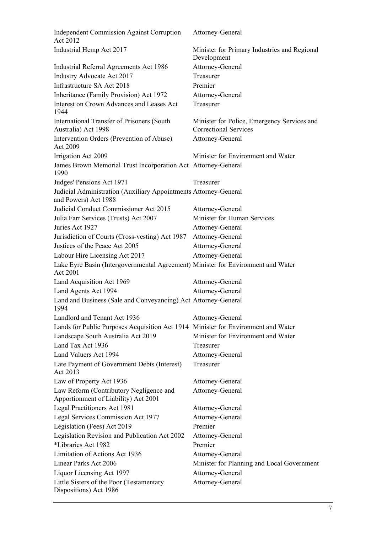| Independent Commission Against Corruption<br>Act 2012                                        | Attorney-General                                                            |
|----------------------------------------------------------------------------------------------|-----------------------------------------------------------------------------|
| Industrial Hemp Act 2017                                                                     | Minister for Primary Industries and Regional<br>Development                 |
| Industrial Referral Agreements Act 1986                                                      | Attorney-General                                                            |
| Industry Advocate Act 2017                                                                   | Treasurer                                                                   |
| Infrastructure SA Act 2018                                                                   | Premier                                                                     |
| Inheritance (Family Provision) Act 1972                                                      | Attorney-General                                                            |
| Interest on Crown Advances and Leases Act<br>1944                                            | Treasurer                                                                   |
| International Transfer of Prisoners (South<br>Australia) Act 1998                            | Minister for Police, Emergency Services and<br><b>Correctional Services</b> |
| Intervention Orders (Prevention of Abuse)<br>Act 2009                                        | Attorney-General                                                            |
| Irrigation Act 2009                                                                          | Minister for Environment and Water                                          |
| James Brown Memorial Trust Incorporation Act Attorney-General                                |                                                                             |
| 1990                                                                                         |                                                                             |
| Judges' Pensions Act 1971                                                                    | Treasurer                                                                   |
| Judicial Administration (Auxiliary Appointments Attorney-General<br>and Powers) Act 1988     |                                                                             |
| Judicial Conduct Commissioner Act 2015                                                       | Attorney-General                                                            |
| Julia Farr Services (Trusts) Act 2007                                                        | Minister for Human Services                                                 |
| Juries Act 1927                                                                              | Attorney-General                                                            |
| Jurisdiction of Courts (Cross-vesting) Act 1987                                              | Attorney-General                                                            |
| Justices of the Peace Act 2005                                                               | Attorney-General                                                            |
| Labour Hire Licensing Act 2017                                                               | Attorney-General                                                            |
| Lake Eyre Basin (Intergovernmental Agreement) Minister for Environment and Water<br>Act 2001 |                                                                             |
| Land Acquisition Act 1969                                                                    | Attorney-General                                                            |
| Land Agents Act 1994                                                                         | Attorney-General                                                            |
| Land and Business (Sale and Conveyancing) Act Attorney-General<br>1994                       |                                                                             |
| Landlord and Tenant Act 1936                                                                 | Attorney-General                                                            |
| Lands for Public Purposes Acquisition Act 1914 Minister for Environment and Water            |                                                                             |
| Landscape South Australia Act 2019                                                           | Minister for Environment and Water                                          |
| Land Tax Act 1936                                                                            | Treasurer                                                                   |
| Land Valuers Act 1994                                                                        | Attorney-General                                                            |
| Late Payment of Government Debts (Interest)<br>Act 2013                                      | Treasurer                                                                   |
| Law of Property Act 1936                                                                     | Attorney-General                                                            |
| Law Reform (Contributory Negligence and<br>Apportionment of Liability) Act 2001              | Attorney-General                                                            |
| <b>Legal Practitioners Act 1981</b>                                                          | Attorney-General                                                            |
| Legal Services Commission Act 1977                                                           | Attorney-General                                                            |
| Legislation (Fees) Act 2019                                                                  | Premier                                                                     |
| Legislation Revision and Publication Act 2002                                                | Attorney-General                                                            |
| *Libraries Act 1982                                                                          | Premier                                                                     |
| Limitation of Actions Act 1936                                                               | Attorney-General                                                            |
| Linear Parks Act 2006                                                                        | Minister for Planning and Local Government                                  |
| Liquor Licensing Act 1997                                                                    | Attorney-General                                                            |
| Little Sisters of the Poor (Testamentary<br>Dispositions) Act 1986                           | Attorney-General                                                            |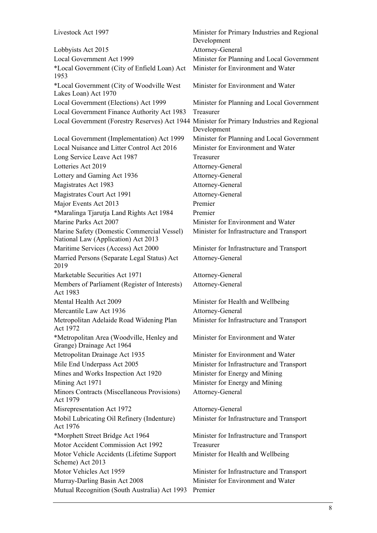| Livestock Act 1997                                                                         | Minister for Primary Industries and Regional<br>Development |  |
|--------------------------------------------------------------------------------------------|-------------------------------------------------------------|--|
| Lobbyists Act 2015                                                                         | Attorney-General                                            |  |
| Local Government Act 1999                                                                  | Minister for Planning and Local Government                  |  |
| *Local Government (City of Enfield Loan) Act<br>1953                                       | Minister for Environment and Water                          |  |
| *Local Government (City of Woodville West<br>Lakes Loan) Act 1970                          | Minister for Environment and Water                          |  |
| Local Government (Elections) Act 1999                                                      | Minister for Planning and Local Government                  |  |
| Local Government Finance Authority Act 1983                                                | Treasurer                                                   |  |
| Local Government (Forestry Reserves) Act 1944 Minister for Primary Industries and Regional | Development                                                 |  |
| Local Government (Implementation) Act 1999                                                 | Minister for Planning and Local Government                  |  |
| Local Nuisance and Litter Control Act 2016                                                 | Minister for Environment and Water                          |  |
| Long Service Leave Act 1987                                                                | Treasurer                                                   |  |
| Lotteries Act 2019                                                                         | Attorney-General                                            |  |
| Lottery and Gaming Act 1936                                                                | Attorney-General                                            |  |
| Magistrates Act 1983                                                                       | Attorney-General                                            |  |
| Magistrates Court Act 1991                                                                 | Attorney-General                                            |  |
| Major Events Act 2013                                                                      | Premier                                                     |  |
| *Maralinga Tjarutja Land Rights Act 1984                                                   | Premier                                                     |  |
| Marine Parks Act 2007                                                                      | Minister for Environment and Water                          |  |
| Marine Safety (Domestic Commercial Vessel)<br>National Law (Application) Act 2013          | Minister for Infrastructure and Transport                   |  |
| Maritime Services (Access) Act 2000                                                        | Minister for Infrastructure and Transport                   |  |
| Married Persons (Separate Legal Status) Act<br>2019                                        | Attorney-General                                            |  |
| Marketable Securities Act 1971                                                             | Attorney-General                                            |  |
| Members of Parliament (Register of Interests)<br>Act 1983                                  | Attorney-General                                            |  |
| Mental Health Act 2009                                                                     | Minister for Health and Wellbeing                           |  |
| Mercantile Law Act 1936                                                                    | Attorney-General                                            |  |
| Metropolitan Adelaide Road Widening Plan<br>Act 1972                                       | Minister for Infrastructure and Transport                   |  |
| *Metropolitan Area (Woodville, Henley and<br>Grange) Drainage Act 1964                     | Minister for Environment and Water                          |  |
| Metropolitan Drainage Act 1935                                                             | Minister for Environment and Water                          |  |
| Mile End Underpass Act 2005                                                                | Minister for Infrastructure and Transport                   |  |
| Mines and Works Inspection Act 1920                                                        | Minister for Energy and Mining                              |  |
| Mining Act 1971                                                                            | Minister for Energy and Mining                              |  |
| Minors Contracts (Miscellaneous Provisions)<br>Act 1979                                    | Attorney-General                                            |  |
| Misrepresentation Act 1972                                                                 | Attorney-General                                            |  |
| Mobil Lubricating Oil Refinery (Indenture)<br>Act 1976                                     | Minister for Infrastructure and Transport                   |  |
| *Morphett Street Bridge Act 1964                                                           | Minister for Infrastructure and Transport                   |  |
| Motor Accident Commission Act 1992                                                         | Treasurer                                                   |  |
| Motor Vehicle Accidents (Lifetime Support<br>Scheme) Act 2013                              | Minister for Health and Wellbeing                           |  |
| Motor Vehicles Act 1959                                                                    | Minister for Infrastructure and Transport                   |  |
| Murray-Darling Basin Act 2008                                                              | Minister for Environment and Water                          |  |
| Mutual Recognition (South Australia) Act 1993                                              | Premier                                                     |  |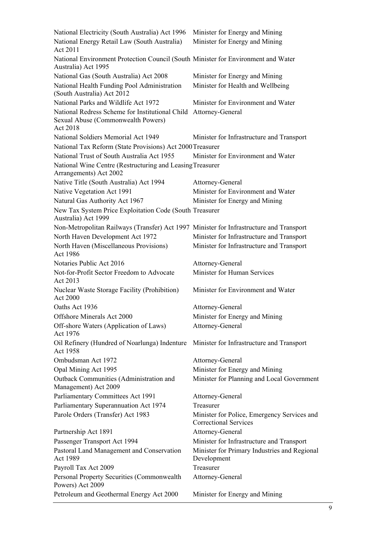National Electricity (South Australia) Act 1996 Minister for Energy and Mining National Energy Retail Law (South Australia) Act 2011 Minister for Energy and Mining National Environment Protection Council (South Minister for Environment and Water Australia) Act 1995 National Gas (South Australia) Act 2008 Minister for Energy and Mining National Health Funding Pool Administration (South Australia) Act 2012 Minister for Health and Wellbeing National Parks and Wildlife Act 1972 Minister for Environment and Water National Redress Scheme for Institutional Child Attorney-General Sexual Abuse (Commonwealth Powers) Act 2018 National Soldiers Memorial Act 1949 Minister for Infrastructure and Transport National Tax Reform (State Provisions) Act 2000 Treasurer National Trust of South Australia Act 1955 Minister for Environment and Water National Wine Centre (Restructuring and Leasing Treasurer Arrangements) Act 2002 Native Title (South Australia) Act 1994 Attorney-General Native Vegetation Act 1991 Minister for Environment and Water Natural Gas Authority Act 1967 Minister for Energy and Mining New Tax System Price Exploitation Code (South Treasurer Australia) Act 1999 Non-Metropolitan Railways (Transfer) Act 1997 Minister for Infrastructure and Transport North Haven Development Act 1972 Minister for Infrastructure and Transport North Haven (Miscellaneous Provisions) Act 1986 Minister for Infrastructure and Transport Notaries Public Act 2016 Attorney-General Not-for-Profit Sector Freedom to Advocate Act 2013 Minister for Human Services Nuclear Waste Storage Facility (Prohibition) Act 2000 Minister for Environment and Water Oaths Act 1936 Attorney-General Offshore Minerals Act 2000 Minister for Energy and Mining Off-shore Waters (Application of Laws) Act 1976 Attorney-General Oil Refinery (Hundred of Noarlunga) Indenture Minister for Infrastructure and Transport Act 1958 Ombudsman Act 1972 Attorney-General Opal Mining Act 1995 Minister for Energy and Mining Outback Communities (Administration and Management) Act 2009 Minister for Planning and Local Government Parliamentary Committees Act 1991 Attorney-General Parliamentary Superannuation Act 1974 Treasurer Parole Orders (Transfer) Act 1983 Minister for Police, Emergency Services and Correctional Services Partnership Act 1891 Attorney-General Passenger Transport Act 1994 Minister for Infrastructure and Transport Pastoral Land Management and Conservation Act 1989 Minister for Primary Industries and Regional Development Payroll Tax Act 2009 Treasurer Personal Property Securities (Commonwealth Powers) Act 2009 Attorney-General Petroleum and Geothermal Energy Act 2000 Minister for Energy and Mining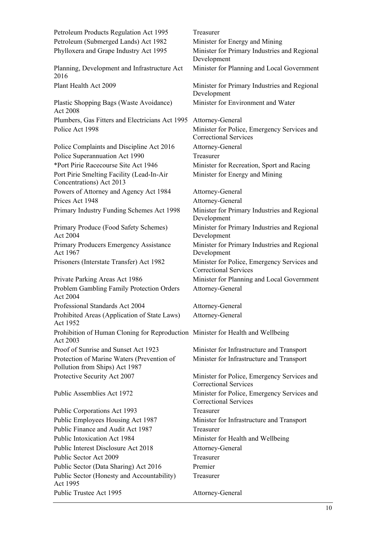| Petroleum Products Regulation Act 1995                                                      | Treasurer                                                                   |  |
|---------------------------------------------------------------------------------------------|-----------------------------------------------------------------------------|--|
| Petroleum (Submerged Lands) Act 1982                                                        | Minister for Energy and Mining                                              |  |
| Phylloxera and Grape Industry Act 1995                                                      | Minister for Primary Industries and Regional<br>Development                 |  |
| Planning, Development and Infrastructure Act<br>2016                                        | Minister for Planning and Local Government                                  |  |
| Plant Health Act 2009                                                                       | Minister for Primary Industries and Regional<br>Development                 |  |
| Plastic Shopping Bags (Waste Avoidance)<br>Act 2008                                         | Minister for Environment and Water                                          |  |
| Plumbers, Gas Fitters and Electricians Act 1995                                             | Attorney-General                                                            |  |
| Police Act 1998                                                                             | Minister for Police, Emergency Services and<br><b>Correctional Services</b> |  |
| Police Complaints and Discipline Act 2016                                                   | Attorney-General                                                            |  |
| Police Superannuation Act 1990                                                              | Treasurer                                                                   |  |
| *Port Pirie Racecourse Site Act 1946                                                        | Minister for Recreation, Sport and Racing                                   |  |
| Port Pirie Smelting Facility (Lead-In-Air<br>Concentrations) Act 2013                       | Minister for Energy and Mining                                              |  |
| Powers of Attorney and Agency Act 1984                                                      | Attorney-General                                                            |  |
| Prices Act 1948                                                                             | Attorney-General                                                            |  |
| Primary Industry Funding Schemes Act 1998                                                   | Minister for Primary Industries and Regional<br>Development                 |  |
| Primary Produce (Food Safety Schemes)<br>Act 2004                                           | Minister for Primary Industries and Regional<br>Development                 |  |
| Primary Producers Emergency Assistance<br>Act 1967                                          | Minister for Primary Industries and Regional<br>Development                 |  |
| Prisoners (Interstate Transfer) Act 1982                                                    | Minister for Police, Emergency Services and<br><b>Correctional Services</b> |  |
| Private Parking Areas Act 1986                                                              | Minister for Planning and Local Government                                  |  |
| Problem Gambling Family Protection Orders<br>Act 2004                                       | Attorney-General                                                            |  |
| Professional Standards Act 2004                                                             | Attorney-General                                                            |  |
| Prohibited Areas (Application of State Laws)<br>Act 1952                                    | Attorney-General                                                            |  |
| Prohibition of Human Cloning for Reproduction Minister for Health and Wellbeing<br>Act 2003 |                                                                             |  |
| Proof of Sunrise and Sunset Act 1923                                                        | Minister for Infrastructure and Transport                                   |  |
| Protection of Marine Waters (Prevention of<br>Pollution from Ships) Act 1987                | Minister for Infrastructure and Transport                                   |  |
| Protective Security Act 2007                                                                | Minister for Police, Emergency Services and<br><b>Correctional Services</b> |  |
| Public Assemblies Act 1972                                                                  | Minister for Police, Emergency Services and<br><b>Correctional Services</b> |  |
| Public Corporations Act 1993                                                                | Treasurer                                                                   |  |
| Public Employees Housing Act 1987                                                           | Minister for Infrastructure and Transport                                   |  |
| Public Finance and Audit Act 1987                                                           | Treasurer                                                                   |  |
| Public Intoxication Act 1984                                                                | Minister for Health and Wellbeing                                           |  |
| Public Interest Disclosure Act 2018                                                         | Attorney-General                                                            |  |
| Public Sector Act 2009                                                                      | Treasurer                                                                   |  |
| Public Sector (Data Sharing) Act 2016                                                       | Premier                                                                     |  |
| Public Sector (Honesty and Accountability)<br>Act 1995                                      | Treasurer                                                                   |  |
| Public Trustee Act 1995                                                                     | Attorney-General                                                            |  |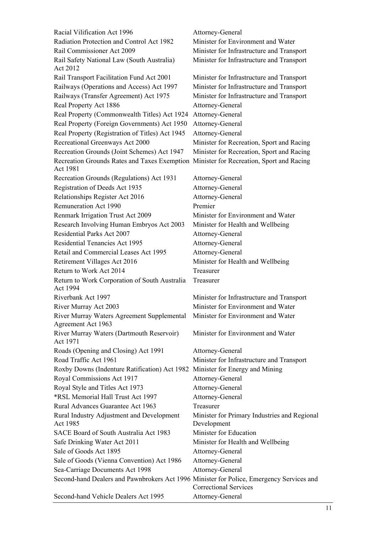Racial Vilification Act 1996 Attorney-General Radiation Protection and Control Act 1982 Minister for Environment and Water Rail Commissioner Act 2009 Minister for Infrastructure and Transport Rail Safety National Law (South Australia) Act 2012 Minister for Infrastructure and Transport Rail Transport Facilitation Fund Act 2001 Minister for Infrastructure and Transport Railways (Operations and Access) Act 1997 Minister for Infrastructure and Transport Railways (Transfer Agreement) Act 1975 Minister for Infrastructure and Transport Real Property Act 1886 Attorney-General Real Property (Commonwealth Titles) Act 1924 Attorney-General Real Property (Foreign Governments) Act 1950 Attorney-General Real Property (Registration of Titles) Act 1945 Attorney-General Recreational Greenways Act 2000 Minister for Recreation, Sport and Racing Recreation Grounds (Joint Schemes) Act 1947 Minister for Recreation, Sport and Racing Recreation Grounds Rates and Taxes Exemption Minister for Recreation, Sport and Racing Act 1981 Recreation Grounds (Regulations) Act 1931 Attorney-General Registration of Deeds Act 1935 Attorney-General Relationships Register Act 2016 Attorney-General Remuneration Act 1990 Premier Renmark Irrigation Trust Act 2009 Minister for Environment and Water Research Involving Human Embryos Act 2003 Minister for Health and Wellbeing Residential Parks Act 2007 Attorney-General Residential Tenancies Act 1995 Attorney-General Retail and Commercial Leases Act 1995 Attorney-General Retirement Villages Act 2016 Minister for Health and Wellbeing Return to Work Act 2014 Treasurer Return to Work Corporation of South Australia Act 1994 Treasurer Riverbank Act 1997 Minister for Infrastructure and Transport River Murray Act 2003 Minister for Environment and Water River Murray Waters Agreement Supplemental Agreement Act 1963 Minister for Environment and Water River Murray Waters (Dartmouth Reservoir) Act 1971 Minister for Environment and Water Roads (Opening and Closing) Act 1991 Attorney-General Road Traffic Act 1961 Minister for Infrastructure and Transport Roxby Downs (Indenture Ratification) Act 1982 Minister for Energy and Mining Royal Commissions Act 1917 Attorney-General Royal Style and Titles Act 1973 Attorney-General \*RSL Memorial Hall Trust Act 1997 Attorney-General Rural Advances Guarantee Act 1963 Treasurer Rural Industry Adjustment and Development Act 1985 Minister for Primary Industries and Regional Development SACE Board of South Australia Act 1983 Minister for Education Safe Drinking Water Act 2011 Minister for Health and Wellbeing Sale of Goods Act 1895 Attorney-General Sale of Goods (Vienna Convention) Act 1986 Attorney-General Sea-Carriage Documents Act 1998 Attorney-General Second-hand Dealers and Pawnbrokers Act 1996 Minister for Police, Emergency Services and Correctional Services Second-hand Vehicle Dealers Act 1995 Attorney-General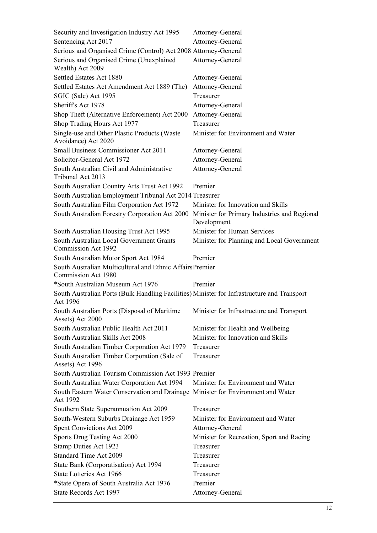| Security and Investigation Industry Act 1995                                                               | Attorney-General                                            |  |
|------------------------------------------------------------------------------------------------------------|-------------------------------------------------------------|--|
| Sentencing Act 2017                                                                                        | Attorney-General                                            |  |
| Serious and Organised Crime (Control) Act 2008 Attorney-General                                            |                                                             |  |
| Serious and Organised Crime (Unexplained<br>Wealth) Act 2009                                               | Attorney-General                                            |  |
| Settled Estates Act 1880                                                                                   | Attorney-General                                            |  |
| Settled Estates Act Amendment Act 1889 (The)                                                               | Attorney-General                                            |  |
| SGIC (Sale) Act 1995                                                                                       | Treasurer                                                   |  |
| Sheriff's Act 1978                                                                                         | Attorney-General                                            |  |
| Shop Theft (Alternative Enforcement) Act 2000                                                              | Attorney-General                                            |  |
| Shop Trading Hours Act 1977                                                                                | Treasurer                                                   |  |
| Single-use and Other Plastic Products (Waste<br>Avoidance) Act 2020                                        | Minister for Environment and Water                          |  |
| Small Business Commissioner Act 2011                                                                       | Attorney-General                                            |  |
| Solicitor-General Act 1972                                                                                 | Attorney-General                                            |  |
| South Australian Civil and Administrative<br>Tribunal Act 2013                                             | Attorney-General                                            |  |
| South Australian Country Arts Trust Act 1992                                                               | Premier                                                     |  |
| South Australian Employment Tribunal Act 2014 Treasurer                                                    |                                                             |  |
| South Australian Film Corporation Act 1972                                                                 | Minister for Innovation and Skills                          |  |
| South Australian Forestry Corporation Act 2000                                                             | Minister for Primary Industries and Regional<br>Development |  |
| South Australian Housing Trust Act 1995                                                                    | Minister for Human Services                                 |  |
| South Australian Local Government Grants                                                                   | Minister for Planning and Local Government                  |  |
| Commission Act 1992                                                                                        |                                                             |  |
| South Australian Motor Sport Act 1984                                                                      | Premier                                                     |  |
| South Australian Multicultural and Ethnic Affairs Premier<br>Commission Act 1980                           |                                                             |  |
| *South Australian Museum Act 1976                                                                          | Premier                                                     |  |
| South Australian Ports (Bulk Handling Facilities) Minister for Infrastructure and Transport<br>Act 1996    |                                                             |  |
| South Australian Ports (Disposal of Maritime Minister for Infrastructure and Transport<br>Assets) Act 2000 |                                                             |  |
| South Australian Public Health Act 2011                                                                    | Minister for Health and Wellbeing                           |  |
| South Australian Skills Act 2008                                                                           | Minister for Innovation and Skills                          |  |
| South Australian Timber Corporation Act 1979                                                               | Treasurer                                                   |  |
| South Australian Timber Corporation (Sale of<br>Assets) Act 1996                                           | Treasurer                                                   |  |
| South Australian Tourism Commission Act 1993 Premier                                                       |                                                             |  |
| South Australian Water Corporation Act 1994                                                                | Minister for Environment and Water                          |  |
| South Eastern Water Conservation and Drainage Minister for Environment and Water<br>Act 1992               |                                                             |  |
| Southern State Superannuation Act 2009                                                                     | Treasurer                                                   |  |
| South-Western Suburbs Drainage Act 1959                                                                    | Minister for Environment and Water                          |  |
| Spent Convictions Act 2009                                                                                 | Attorney-General                                            |  |
| Sports Drug Testing Act 2000                                                                               | Minister for Recreation, Sport and Racing                   |  |
| Stamp Duties Act 1923                                                                                      | Treasurer                                                   |  |
| <b>Standard Time Act 2009</b>                                                                              | Treasurer                                                   |  |
| State Bank (Corporatisation) Act 1994                                                                      | Treasurer                                                   |  |
| State Lotteries Act 1966                                                                                   | Treasurer                                                   |  |
| *State Opera of South Australia Act 1976                                                                   | Premier                                                     |  |
| State Records Act 1997                                                                                     | Attorney-General                                            |  |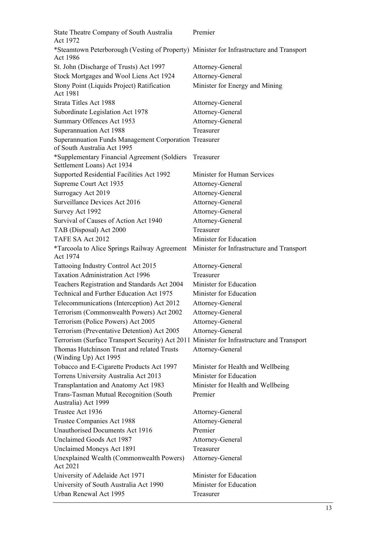| State Theatre Company of South Australia<br>Act 1972                                                | Premier                                                       |  |
|-----------------------------------------------------------------------------------------------------|---------------------------------------------------------------|--|
| *Steamtown Peterborough (Vesting of Property) Minister for Infrastructure and Transport<br>Act 1986 |                                                               |  |
| St. John (Discharge of Trusts) Act 1997                                                             | Attorney-General                                              |  |
| Stock Mortgages and Wool Liens Act 1924                                                             | Attorney-General                                              |  |
| Stony Point (Liquids Project) Ratification<br>Act 1981                                              | Minister for Energy and Mining                                |  |
| Strata Titles Act 1988                                                                              | Attorney-General                                              |  |
| Subordinate Legislation Act 1978                                                                    | Attorney-General                                              |  |
| Summary Offences Act 1953                                                                           | Attorney-General                                              |  |
| Superannuation Act 1988                                                                             | Treasurer                                                     |  |
| Superannuation Funds Management Corporation Treasurer<br>of South Australia Act 1995                |                                                               |  |
| *Supplementary Financial Agreement (Soldiers<br>Settlement Loans) Act 1934                          | Treasurer                                                     |  |
| Supported Residential Facilities Act 1992                                                           | Minister for Human Services                                   |  |
| Supreme Court Act 1935                                                                              | Attorney-General                                              |  |
| Surrogacy Act 2019                                                                                  | Attorney-General                                              |  |
| Surveillance Devices Act 2016                                                                       | Attorney-General                                              |  |
| Survey Act 1992                                                                                     | Attorney-General                                              |  |
| Survival of Causes of Action Act 1940                                                               | Attorney-General                                              |  |
| TAB (Disposal) Act 2000                                                                             | Treasurer                                                     |  |
| TAFE SA Act 2012                                                                                    | Minister for Education                                        |  |
| <i>*Tarcoola to Alice Springs Railway Agreement</i><br>Act 1974                                     | Minister for Infrastructure and Transport                     |  |
| Tattooing Industry Control Act 2015                                                                 | Attorney-General                                              |  |
| <b>Taxation Administration Act 1996</b>                                                             |                                                               |  |
|                                                                                                     | Treasurer                                                     |  |
| Teachers Registration and Standards Act 2004                                                        | Minister for Education                                        |  |
| Technical and Further Education Act 1975                                                            | Minister for Education                                        |  |
| Telecommunications (Interception) Act 2012                                                          | Attorney-General                                              |  |
| Terrorism (Commonwealth Powers) Act 2002                                                            | Attorney-General                                              |  |
| Terrorism (Police Powers) Act 2005                                                                  | Attorney-General                                              |  |
| Terrorism (Preventative Detention) Act 2005                                                         | Attorney-General                                              |  |
| Terrorism (Surface Transport Security) Act 2011                                                     |                                                               |  |
| Thomas Hutchinson Trust and related Trusts                                                          | Minister for Infrastructure and Transport<br>Attorney-General |  |
| (Winding Up) Act 1995<br>Tobacco and E-Cigarette Products Act 1997                                  | Minister for Health and Wellbeing                             |  |
| Torrens University Australia Act 2013                                                               | Minister for Education                                        |  |
| Transplantation and Anatomy Act 1983                                                                |                                                               |  |
| Trans-Tasman Mutual Recognition (South<br>Australia) Act 1999                                       | Minister for Health and Wellbeing<br>Premier                  |  |
| Trustee Act 1936                                                                                    | Attorney-General                                              |  |
| Trustee Companies Act 1988                                                                          | Attorney-General                                              |  |
| Unauthorised Documents Act 1916                                                                     | Premier                                                       |  |
| Unclaimed Goods Act 1987                                                                            | Attorney-General                                              |  |
| Unclaimed Moneys Act 1891                                                                           | Treasurer                                                     |  |
| Unexplained Wealth (Commonwealth Powers)<br>Act 2021                                                | Attorney-General                                              |  |
| University of Adelaide Act 1971                                                                     | Minister for Education                                        |  |
| University of South Australia Act 1990                                                              | Minister for Education                                        |  |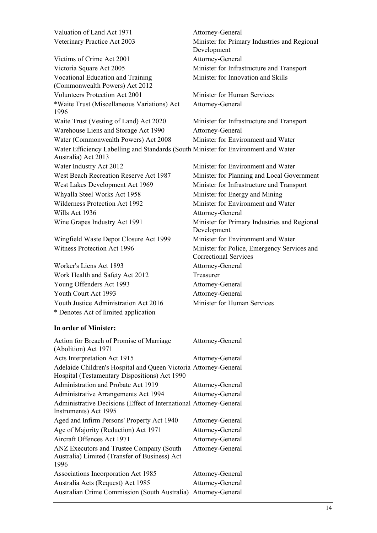Valuation of Land Act 1971 Attorney-General Veterinary Practice Act 2003 Minister for Primary Industries and Regional Development Victims of Crime Act 2001 Attorney-General Victoria Square Act 2005 Minister for Infrastructure and Transport Vocational Education and Training (Commonwealth Powers) Act 2012 Minister for Innovation and Skills Volunteers Protection Act 2001 Minister for Human Services \*Waite Trust (Miscellaneous Variations) Act 1996 Attorney-General Waite Trust (Vesting of Land) Act 2020 Minister for Infrastructure and Transport Warehouse Liens and Storage Act 1990 Attorney-General Water (Commonwealth Powers) Act 2008 Minister for Environment and Water Water Efficiency Labelling and Standards (South Minister for Environment and Water Australia) Act 2013 Water Industry Act 2012 Minister for Environment and Water West Beach Recreation Reserve Act 1987 Minister for Planning and Local Government West Lakes Development Act 1969 Minister for Infrastructure and Transport Whyalla Steel Works Act 1958 Minister for Energy and Mining Wilderness Protection Act 1992 Minister for Environment and Water Wills Act 1936 Attorney-General Wine Grapes Industry Act 1991 Minister for Primary Industries and Regional Development Wingfield Waste Depot Closure Act 1999 Minister for Environment and Water Witness Protection Act 1996 Minister for Police, Emergency Services and Correctional Services Worker's Liens Act 1893 Attorney-General Work Health and Safety Act 2012 Treasurer Young Offenders Act 1993 Attorney-General Youth Court Act 1993 Attorney-General Youth Justice Administration Act 2016 Minister for Human Services \* Denotes Act of limited application

## **In order of Minister:**

| Action for Breach of Promise of Marriage<br>(Abolition) Act 1971                                                  | Attorney-General |
|-------------------------------------------------------------------------------------------------------------------|------------------|
| Acts Interpretation Act 1915                                                                                      | Attorney-General |
| Adelaide Children's Hospital and Queen Victoria Attorney-General<br>Hospital (Testamentary Dispositions) Act 1990 |                  |
| <b>Administration and Probate Act 1919</b>                                                                        | Attorney-General |
| Administrative Arrangements Act 1994                                                                              | Attorney-General |
| Administrative Decisions (Effect of International Attorney-General<br>Instruments) Act 1995                       |                  |
| Aged and Infirm Persons' Property Act 1940                                                                        | Attorney-General |
| Age of Majority (Reduction) Act 1971                                                                              | Attorney-General |
| Aircraft Offences Act 1971                                                                                        | Attorney-General |
| ANZ Executors and Trustee Company (South<br>Australia) Limited (Transfer of Business) Act<br>1996                 | Attorney-General |
| Associations Incorporation Act 1985                                                                               | Attorney-General |
| Australia Acts (Request) Act 1985                                                                                 | Attorney-General |
| Australian Crime Commission (South Australia)                                                                     | Attorney-General |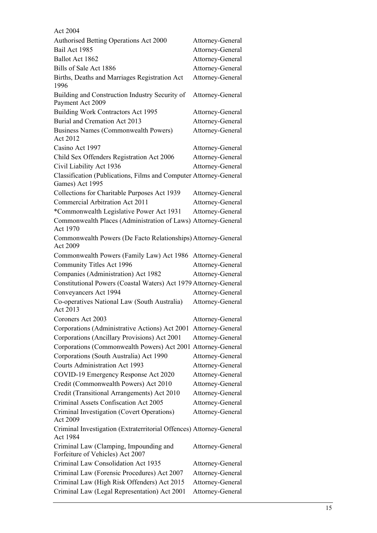| Act 2004                                                                             |                  |
|--------------------------------------------------------------------------------------|------------------|
| Authorised Betting Operations Act 2000                                               | Attorney-General |
| Bail Act 1985                                                                        | Attorney-General |
| Ballot Act 1862                                                                      | Attorney-General |
| Bills of Sale Act 1886                                                               | Attorney-General |
| Births, Deaths and Marriages Registration Act<br>1996                                | Attorney-General |
| Building and Construction Industry Security of<br>Payment Act 2009                   | Attorney-General |
| Building Work Contractors Act 1995                                                   | Attorney-General |
| Burial and Cremation Act 2013                                                        | Attorney-General |
| <b>Business Names (Commonwealth Powers)</b><br>Act 2012                              | Attorney-General |
| Casino Act 1997                                                                      | Attorney-General |
| Child Sex Offenders Registration Act 2006                                            | Attorney-General |
| Civil Liability Act 1936                                                             | Attorney-General |
| Classification (Publications, Films and Computer Attorney-General<br>Games) Act 1995 |                  |
| Collections for Charitable Purposes Act 1939                                         | Attorney-General |
| Commercial Arbitration Act 2011                                                      | Attorney-General |
| *Commonwealth Legislative Power Act 1931                                             | Attorney-General |
| Commonwealth Places (Administration of Laws) Attorney-General<br>Act 1970            |                  |
| Commonwealth Powers (De Facto Relationships) Attorney-General<br>Act 2009            |                  |
| Commonwealth Powers (Family Law) Act 1986                                            | Attorney-General |
| Community Titles Act 1996                                                            | Attorney-General |
| Companies (Administration) Act 1982                                                  | Attorney-General |
| Constitutional Powers (Coastal Waters) Act 1979 Attorney-General                     |                  |
| Conveyancers Act 1994                                                                | Attorney-General |
| Co-operatives National Law (South Australia)<br>Act 2013                             | Attorney-General |
| Coroners Act 2003                                                                    | Attorney-General |
| Corporations (Administrative Actions) Act 2001                                       | Attorney-General |
| Corporations (Ancillary Provisions) Act 2001                                         | Attorney-General |
| Corporations (Commonwealth Powers) Act 2001                                          | Attorney-General |
| Corporations (South Australia) Act 1990                                              | Attorney-General |
| <b>Courts Administration Act 1993</b>                                                | Attorney-General |
| COVID-19 Emergency Response Act 2020                                                 | Attorney-General |
| Credit (Commonwealth Powers) Act 2010                                                | Attorney-General |
| Credit (Transitional Arrangements) Act 2010                                          | Attorney-General |
| Criminal Assets Confiscation Act 2005                                                | Attorney-General |
| Criminal Investigation (Covert Operations)<br>Act 2009                               | Attorney-General |
| Criminal Investigation (Extraterritorial Offences) Attorney-General<br>Act 1984      |                  |
| Criminal Law (Clamping, Impounding and<br>Forfeiture of Vehicles) Act 2007           | Attorney-General |
| Criminal Law Consolidation Act 1935                                                  | Attorney-General |
| Criminal Law (Forensic Procedures) Act 2007                                          | Attorney-General |
| Criminal Law (High Risk Offenders) Act 2015                                          | Attorney-General |
| Criminal Law (Legal Representation) Act 2001                                         | Attorney-General |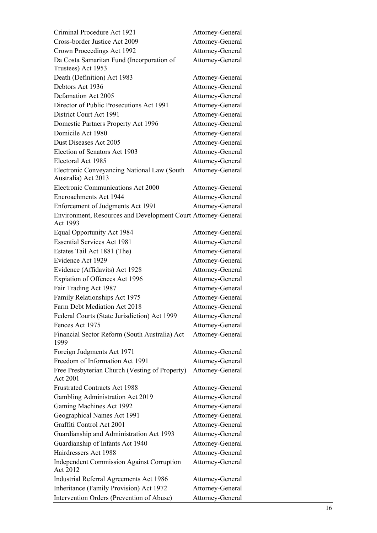| Criminal Procedure Act 1921                                               | Attorney-General |
|---------------------------------------------------------------------------|------------------|
| Cross-border Justice Act 2009                                             | Attorney-General |
| Crown Proceedings Act 1992                                                | Attorney-General |
| Da Costa Samaritan Fund (Incorporation of<br>Trustees) Act 1953           | Attorney-General |
| Death (Definition) Act 1983                                               | Attorney-General |
| Debtors Act 1936                                                          | Attorney-General |
| Defamation Act 2005                                                       | Attorney-General |
| Director of Public Prosecutions Act 1991                                  | Attorney-General |
| District Court Act 1991                                                   | Attorney-General |
| Domestic Partners Property Act 1996                                       | Attorney-General |
| Domicile Act 1980                                                         | Attorney-General |
| Dust Diseases Act 2005                                                    | Attorney-General |
| Election of Senators Act 1903                                             | Attorney-General |
| Electoral Act 1985                                                        | Attorney-General |
| Electronic Conveyancing National Law (South<br>Australia) Act 2013        | Attorney-General |
| Electronic Communications Act 2000                                        | Attorney-General |
| Encroachments Act 1944                                                    | Attorney-General |
| Enforcement of Judgments Act 1991                                         | Attorney-General |
| Environment, Resources and Development Court Attorney-General<br>Act 1993 |                  |
| Equal Opportunity Act 1984                                                | Attorney-General |
| <b>Essential Services Act 1981</b>                                        | Attorney-General |
| Estates Tail Act 1881 (The)                                               | Attorney-General |
| Evidence Act 1929                                                         | Attorney-General |
| Evidence (Affidavits) Act 1928                                            | Attorney-General |
| Expiation of Offences Act 1996                                            | Attorney-General |
| Fair Trading Act 1987                                                     | Attorney-General |
| Family Relationships Act 1975                                             | Attorney-General |
| Farm Debt Mediation Act 2018                                              | Attorney-General |
| Federal Courts (State Jurisdiction) Act 1999                              | Attorney-General |
| Fences Act 1975                                                           | Attorney-General |
| Financial Sector Reform (South Australia) Act<br>1999                     | Attorney-General |
| Foreign Judgments Act 1971                                                | Attorney-General |
| Freedom of Information Act 1991                                           | Attorney-General |
| Free Presbyterian Church (Vesting of Property)<br>Act 2001                | Attorney-General |
| <b>Frustrated Contracts Act 1988</b>                                      | Attorney-General |
| Gambling Administration Act 2019                                          | Attorney-General |
| Gaming Machines Act 1992                                                  | Attorney-General |
| Geographical Names Act 1991                                               | Attorney-General |
| Graffiti Control Act 2001                                                 | Attorney-General |
| Guardianship and Administration Act 1993                                  | Attorney-General |
| Guardianship of Infants Act 1940                                          | Attorney-General |
| Hairdressers Act 1988                                                     | Attorney-General |
| <b>Independent Commission Against Corruption</b><br>Act 2012              | Attorney-General |
| Industrial Referral Agreements Act 1986                                   | Attorney-General |
| Inheritance (Family Provision) Act 1972                                   | Attorney-General |
| Intervention Orders (Prevention of Abuse)                                 | Attorney-General |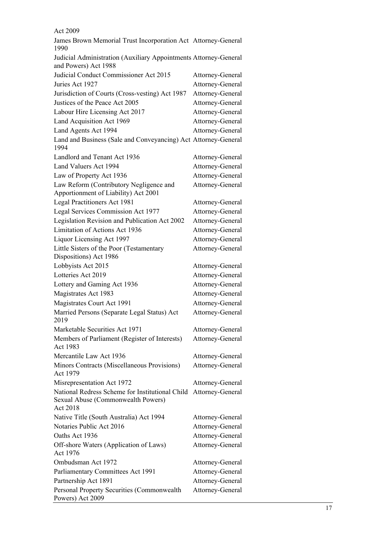Act 2009

James Brown Memorial Trust Incorporation Act Attorney-General 1990 Judicial Administration (Auxiliary Appointments Attorney-General and Powers) Act 1988 Judicial Conduct Commissioner Act 2015 Attorney-General Juries Act 1927 Attorney-General Jurisdiction of Courts (Cross-vesting) Act 1987 Attorney-General Justices of the Peace Act 2005 Attorney-General Labour Hire Licensing Act 2017 Attorney-General Land Acquisition Act 1969 Attorney-General Land Agents Act 1994 Attorney-General Land and Business (Sale and Conveyancing) Act Attorney-General 1994 Landlord and Tenant Act 1936 Attorney-General Land Valuers Act 1994 Attorney-General Law of Property Act 1936 Attorney-General Law Reform (Contributory Negligence and Apportionment of Liability) Act 2001 Attorney-General Legal Practitioners Act 1981 Attorney-General Legal Services Commission Act 1977 Attorney-General Legislation Revision and Publication Act 2002 Attorney-General Limitation of Actions Act 1936 Attorney-General Liquor Licensing Act 1997 Attorney-General Little Sisters of the Poor (Testamentary Dispositions) Act 1986 Attorney-General Lobbyists Act 2015 Attorney-General Lotteries Act 2019 Attorney-General Lottery and Gaming Act 1936 Attorney-General Magistrates Act 1983 Attorney-General Magistrates Court Act 1991 Attorney-General Married Persons (Separate Legal Status) Act 2019 Attorney-General Marketable Securities Act 1971 Attorney-General Members of Parliament (Register of Interests) Act 1983 Attorney-General Mercantile Law Act 1936 Attorney-General Minors Contracts (Miscellaneous Provisions) Act 1979 Attorney-General Misrepresentation Act 1972 Attorney-General National Redress Scheme for Institutional Child Attorney-General Sexual Abuse (Commonwealth Powers) Act 2018 Native Title (South Australia) Act 1994 Attorney-General Notaries Public Act 2016 Attorney-General Oaths Act 1936 Attorney-General Off-shore Waters (Application of Laws) Act 1976 Attorney-General Ombudsman Act 1972 Attorney-General Parliamentary Committees Act 1991 Attorney-General Partnership Act 1891 Attorney-General Personal Property Securities (Commonwealth Powers) Act 2009 Attorney-General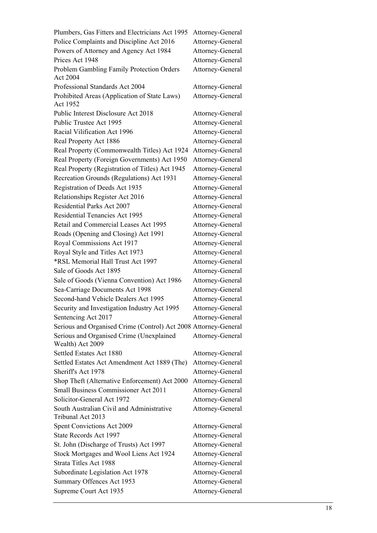| Plumbers, Gas Fitters and Electricians Act 1995<br>Police Complaints and Discipline Act 2016 | Attorney-General<br>Attorney-General |
|----------------------------------------------------------------------------------------------|--------------------------------------|
| Powers of Attorney and Agency Act 1984                                                       | Attorney-General                     |
| Prices Act 1948                                                                              | Attorney-General                     |
| Problem Gambling Family Protection Orders                                                    | Attorney-General                     |
| Act 2004                                                                                     |                                      |
| Professional Standards Act 2004                                                              | Attorney-General                     |
| Prohibited Areas (Application of State Laws)<br>Act 1952                                     | Attorney-General                     |
| Public Interest Disclosure Act 2018                                                          | Attorney-General                     |
| Public Trustee Act 1995                                                                      | Attorney-General                     |
| Racial Vilification Act 1996                                                                 | Attorney-General                     |
| Real Property Act 1886                                                                       | Attorney-General                     |
| Real Property (Commonwealth Titles) Act 1924                                                 | Attorney-General                     |
| Real Property (Foreign Governments) Act 1950                                                 | Attorney-General                     |
| Real Property (Registration of Titles) Act 1945                                              | Attorney-General                     |
| Recreation Grounds (Regulations) Act 1931                                                    | Attorney-General                     |
| Registration of Deeds Act 1935                                                               | Attorney-General                     |
| Relationships Register Act 2016                                                              | Attorney-General                     |
| <b>Residential Parks Act 2007</b>                                                            | Attorney-General                     |
| Residential Tenancies Act 1995                                                               | Attorney-General                     |
| Retail and Commercial Leases Act 1995                                                        | Attorney-General                     |
| Roads (Opening and Closing) Act 1991                                                         | Attorney-General                     |
| Royal Commissions Act 1917                                                                   | Attorney-General                     |
| Royal Style and Titles Act 1973                                                              | Attorney-General                     |
| *RSL Memorial Hall Trust Act 1997                                                            | Attorney-General                     |
| Sale of Goods Act 1895                                                                       | Attorney-General                     |
| Sale of Goods (Vienna Convention) Act 1986                                                   | Attorney-General                     |
| Sea-Carriage Documents Act 1998                                                              | Attorney-General                     |
| Second-hand Vehicle Dealers Act 1995                                                         | Attorney-General                     |
| Security and Investigation Industry Act 1995                                                 | Attorney-General                     |
| Sentencing Act 2017                                                                          | Attorney-General                     |
| Serious and Organised Crime (Control) Act 2008 Attorney-General                              |                                      |
| Serious and Organised Crime (Unexplained                                                     | Attorney-General                     |
| Wealth) Act 2009                                                                             |                                      |
| Settled Estates Act 1880                                                                     | Attorney-General                     |
| Settled Estates Act Amendment Act 1889 (The)                                                 | Attorney-General                     |
| Sheriff's Act 1978                                                                           | Attorney-General                     |
| Shop Theft (Alternative Enforcement) Act 2000                                                | Attorney-General                     |
| <b>Small Business Commissioner Act 2011</b>                                                  | Attorney-General                     |
| Solicitor-General Act 1972                                                                   | Attorney-General                     |
| South Australian Civil and Administrative                                                    | Attorney-General                     |
| Tribunal Act 2013                                                                            |                                      |
| Spent Convictions Act 2009                                                                   | Attorney-General                     |
| State Records Act 1997                                                                       | Attorney-General                     |
| St. John (Discharge of Trusts) Act 1997                                                      | Attorney-General                     |
| Stock Mortgages and Wool Liens Act 1924                                                      | Attorney-General                     |
| <b>Strata Titles Act 1988</b>                                                                | Attorney-General                     |
| Subordinate Legislation Act 1978                                                             | Attorney-General                     |
| Summary Offences Act 1953                                                                    | Attorney-General                     |
| Supreme Court Act 1935                                                                       | Attorney-General                     |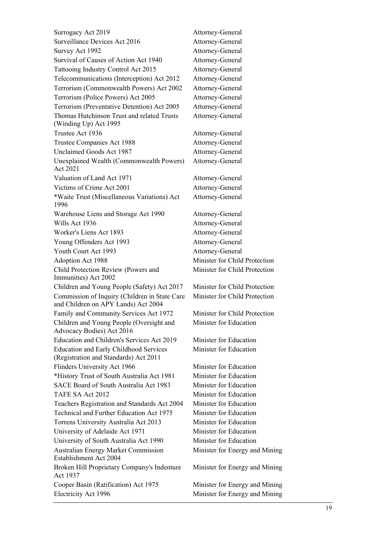Surrogacy Act 2019 Attorney-General Surveillance Devices Act 2016 Attorney-General Survey Act 1992 **Attorney-General** Survival of Causes of Action Act 1940 Attorney-General Tattooing Industry Control Act 2015 Attorney-General Telecommunications (Interception) Act 2012 Attorney-General Terrorism (Commonwealth Powers) Act 2002 Attorney-General Terrorism (Police Powers) Act 2005 Attorney-General Terrorism (Preventative Detention) Act 2005 Attorney-General Thomas Hutchinson Trust and related Trusts (Winding Up) Act 1995 Trustee Act 1936 Attorney-General Trustee Companies Act 1988 Attorney-General Unclaimed Goods Act 1987 Attorney-General Unexplained Wealth (Commonwealth Powers) Act 2021 Valuation of Land Act 1971 Attorney-General Victims of Crime Act 2001 Attorney-General \*Waite Trust (Miscellaneous Variations) Act 1996 Warehouse Liens and Storage Act 1990 Attorney-General Wills Act 1936 **Attorney-General** Worker's Liens Act 1893 Attorney-General Young Offenders Act 1993 Attorney-General Youth Court Act 1993 Attorney-General Adoption Act 1988 Minister for Child Protection Child Protection Review (Powers and Immunities) Act 2002 Children and Young People (Safety) Act 2017 Minister for Child Protection Commission of Inquiry (Children in State Care and Children on APY Lands) Act 2004 Family and Community Services Act 1972 Minister for Child Protection Children and Young People (Oversight and Advocacy Bodies) Act 2016 Education and Children's Services Act 2019 Minister for Education Education and Early Childhood Services (Registration and Standards) Act 2011 Flinders University Act 1966 Minister for Education \*History Trust of South Australia Act 1981 Minister for Education SACE Board of South Australia Act 1983 Minister for Education TAFE SA Act 2012 Minister for Education Teachers Registration and Standards Act 2004 Minister for Education Technical and Further Education Act 1975 Minister for Education Torrens University Australia Act 2013 Minister for Education University of Adelaide Act 1971 Minister for Education University of South Australia Act 1990 Minister for Education Australian Energy Market Commission Establishment Act 2004 Broken Hill Proprietary Company's Indenture Act 1937 Cooper Basin (Ratification) Act 1975 Minister for Energy and Mining Electricity Act 1996 Minister for Energy and Mining

Attorney-General Attorney-General Attorney-General Minister for Child Protection Minister for Child Protection Minister for Education Minister for Education Minister for Energy and Mining Minister for Energy and Mining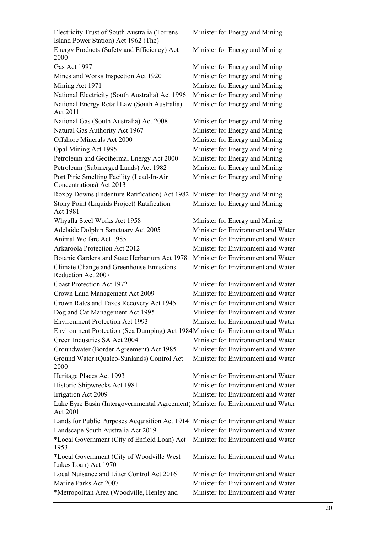Electricity Trust of South Australia (Torrens Island Power Station) Act 1962 (The) Minister for Energy and Mining Energy Products (Safety and Efficiency) Act 2000 Minister for Energy and Mining Gas Act 1997 **Minister for Energy and Mining** Mines and Works Inspection Act 1920 Minister for Energy and Mining Mining Act 1971 Minister for Energy and Mining National Electricity (South Australia) Act 1996 Minister for Energy and Mining National Energy Retail Law (South Australia) Act 2011 Minister for Energy and Mining National Gas (South Australia) Act 2008 Minister for Energy and Mining Natural Gas Authority Act 1967 Minister for Energy and Mining Offshore Minerals Act 2000 Minister for Energy and Mining Opal Mining Act 1995 Minister for Energy and Mining Petroleum and Geothermal Energy Act 2000 Minister for Energy and Mining Petroleum (Submerged Lands) Act 1982 Minister for Energy and Mining Port Pirie Smelting Facility (Lead-In-Air Concentrations) Act 2013 Minister for Energy and Mining Roxby Downs (Indenture Ratification) Act 1982 Minister for Energy and Mining Stony Point (Liquids Project) Ratification Act 1981 Minister for Energy and Mining Whyalla Steel Works Act 1958 Minister for Energy and Mining Adelaide Dolphin Sanctuary Act 2005 Minister for Environment and Water Animal Welfare Act 1985 Minister for Environment and Water Arkaroola Protection Act 2012 Minister for Environment and Water Botanic Gardens and State Herbarium Act 1978 Minister for Environment and Water Climate Change and Greenhouse Emissions Reduction Act 2007 Minister for Environment and Water Coast Protection Act 1972 Minister for Environment and Water Crown Land Management Act 2009 Minister for Environment and Water Crown Rates and Taxes Recovery Act 1945 Minister for Environment and Water Dog and Cat Management Act 1995 Minister for Environment and Water Environment Protection Act 1993 Minister for Environment and Water Environment Protection (Sea Dumping) Act 1984 Minister for Environment and Water Green Industries SA Act 2004 Minister for Environment and Water Groundwater (Border Agreement) Act 1985 Minister for Environment and Water Ground Water (Qualco-Sunlands) Control Act 2000 Minister for Environment and Water Heritage Places Act 1993 Minister for Environment and Water Historic Shipwrecks Act 1981 Minister for Environment and Water Irrigation Act 2009 Minister for Environment and Water Lake Eyre Basin (Intergovernmental Agreement) Minister for Environment and Water Act 2001 Lands for Public Purposes Acquisition Act 1914 Minister for Environment and Water Landscape South Australia Act 2019 Minister for Environment and Water \*Local Government (City of Enfield Loan) Act 1953 Minister for Environment and Water \*Local Government (City of Woodville West Lakes Loan) Act 1970 Minister for Environment and Water Local Nuisance and Litter Control Act 2016 Minister for Environment and Water Marine Parks Act 2007 Minister for Environment and Water \*Metropolitan Area (Woodville, Henley and Minister for Environment and Water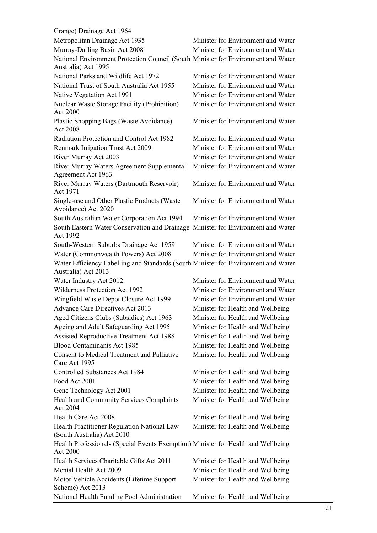| Grange) Drainage Act 1964                                                                     |                                    |
|-----------------------------------------------------------------------------------------------|------------------------------------|
| Metropolitan Drainage Act 1935                                                                | Minister for Environment and Water |
| Murray-Darling Basin Act 2008                                                                 | Minister for Environment and Water |
| National Environment Protection Council (South Minister for Environment and Water             |                                    |
| Australia) Act 1995                                                                           |                                    |
| National Parks and Wildlife Act 1972                                                          | Minister for Environment and Water |
| National Trust of South Australia Act 1955                                                    | Minister for Environment and Water |
| Native Vegetation Act 1991                                                                    | Minister for Environment and Water |
| Nuclear Waste Storage Facility (Prohibition)<br>Act 2000                                      | Minister for Environment and Water |
| Plastic Shopping Bags (Waste Avoidance)<br>Act 2008                                           | Minister for Environment and Water |
| Radiation Protection and Control Act 1982                                                     | Minister for Environment and Water |
| Renmark Irrigation Trust Act 2009                                                             | Minister for Environment and Water |
| River Murray Act 2003                                                                         | Minister for Environment and Water |
| River Murray Waters Agreement Supplemental<br>Agreement Act 1963                              | Minister for Environment and Water |
| River Murray Waters (Dartmouth Reservoir)<br>Act 1971                                         | Minister for Environment and Water |
| Single-use and Other Plastic Products (Waste<br>Avoidance) Act 2020                           | Minister for Environment and Water |
| South Australian Water Corporation Act 1994                                                   | Minister for Environment and Water |
| South Eastern Water Conservation and Drainage<br>Act 1992                                     | Minister for Environment and Water |
| South-Western Suburbs Drainage Act 1959                                                       | Minister for Environment and Water |
| Water (Commonwealth Powers) Act 2008                                                          | Minister for Environment and Water |
| Water Efficiency Labelling and Standards (South Minister for Environment and Water            |                                    |
| Australia) Act 2013                                                                           |                                    |
| Water Industry Act 2012                                                                       | Minister for Environment and Water |
| Wilderness Protection Act 1992                                                                | Minister for Environment and Water |
| Wingfield Waste Depot Closure Act 1999                                                        | Minister for Environment and Water |
| Advance Care Directives Act 2013                                                              | Minister for Health and Wellbeing  |
| Aged Citizens Clubs (Subsidies) Act 1963                                                      | Minister for Health and Wellbeing  |
| Ageing and Adult Safeguarding Act 1995                                                        | Minister for Health and Wellbeing  |
| <b>Assisted Reproductive Treatment Act 1988</b>                                               | Minister for Health and Wellbeing  |
| <b>Blood Contaminants Act 1985</b>                                                            | Minister for Health and Wellbeing  |
| <b>Consent to Medical Treatment and Palliative</b>                                            | Minister for Health and Wellbeing  |
| Care Act 1995                                                                                 |                                    |
| <b>Controlled Substances Act 1984</b>                                                         | Minister for Health and Wellbeing  |
| Food Act 2001                                                                                 | Minister for Health and Wellbeing  |
| Gene Technology Act 2001                                                                      | Minister for Health and Wellbeing  |
| Health and Community Services Complaints<br>Act 2004                                          | Minister for Health and Wellbeing  |
| Health Care Act 2008                                                                          | Minister for Health and Wellbeing  |
| Health Practitioner Regulation National Law<br>(South Australia) Act 2010                     | Minister for Health and Wellbeing  |
| Health Professionals (Special Events Exemption) Minister for Health and Wellbeing<br>Act 2000 |                                    |
| Health Services Charitable Gifts Act 2011                                                     | Minister for Health and Wellbeing  |
| Mental Health Act 2009                                                                        | Minister for Health and Wellbeing  |
| Motor Vehicle Accidents (Lifetime Support                                                     | Minister for Health and Wellbeing  |
| Scheme) Act 2013                                                                              |                                    |
| National Health Funding Pool Administration                                                   | Minister for Health and Wellbeing  |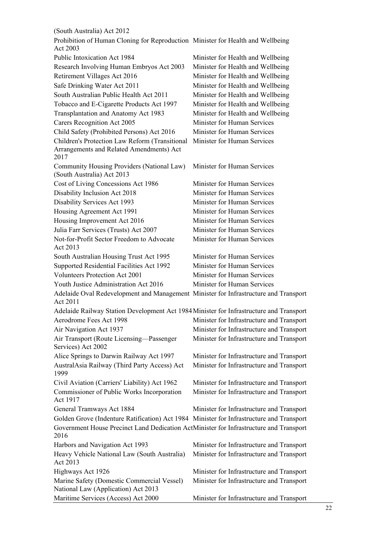| (South Australia) Act 2012                                                                         |                                           |
|----------------------------------------------------------------------------------------------------|-------------------------------------------|
| Prohibition of Human Cloning for Reproduction Minister for Health and Wellbeing<br>Act 2003        |                                           |
| Public Intoxication Act 1984                                                                       | Minister for Health and Wellbeing         |
| Research Involving Human Embryos Act 2003                                                          | Minister for Health and Wellbeing         |
| Retirement Villages Act 2016                                                                       | Minister for Health and Wellbeing         |
| Safe Drinking Water Act 2011                                                                       | Minister for Health and Wellbeing         |
| South Australian Public Health Act 2011                                                            | Minister for Health and Wellbeing         |
| Tobacco and E-Cigarette Products Act 1997                                                          | Minister for Health and Wellbeing         |
| Transplantation and Anatomy Act 1983                                                               | Minister for Health and Wellbeing         |
| Carers Recognition Act 2005                                                                        | Minister for Human Services               |
| Child Safety (Prohibited Persons) Act 2016                                                         | Minister for Human Services               |
| Children's Protection Law Reform (Transitional<br>Arrangements and Related Amendments) Act<br>2017 | Minister for Human Services               |
| Community Housing Providers (National Law)<br>(South Australia) Act 2013                           | Minister for Human Services               |
| Cost of Living Concessions Act 1986                                                                | Minister for Human Services               |
| Disability Inclusion Act 2018                                                                      | Minister for Human Services               |
| Disability Services Act 1993                                                                       | Minister for Human Services               |
| Housing Agreement Act 1991                                                                         | Minister for Human Services               |
| Housing Improvement Act 2016                                                                       | Minister for Human Services               |
| Julia Farr Services (Trusts) Act 2007                                                              | Minister for Human Services               |
| Not-for-Profit Sector Freedom to Advocate<br>Act 2013                                              | Minister for Human Services               |
| South Australian Housing Trust Act 1995                                                            | Minister for Human Services               |
| Supported Residential Facilities Act 1992                                                          | Minister for Human Services               |
| <b>Volunteers Protection Act 2001</b>                                                              | Minister for Human Services               |
| Youth Justice Administration Act 2016                                                              | Minister for Human Services               |
| Adelaide Oval Redevelopment and Management Minister for Infrastructure and Transport<br>Act 2011   |                                           |
| Adelaide Railway Station Development Act 1984 Minister for Infrastructure and Transport            |                                           |
| Aerodrome Fees Act 1998                                                                            | Minister for Infrastructure and Transport |
| Air Navigation Act 1937                                                                            | Minister for Infrastructure and Transport |
| Air Transport (Route Licensing—Passenger<br>Services) Act 2002                                     | Minister for Infrastructure and Transport |
| Alice Springs to Darwin Railway Act 1997                                                           | Minister for Infrastructure and Transport |
| AustralAsia Railway (Third Party Access) Act<br>1999                                               | Minister for Infrastructure and Transport |
| Civil Aviation (Carriers' Liability) Act 1962                                                      | Minister for Infrastructure and Transport |
| Commissioner of Public Works Incorporation<br>Act 1917                                             | Minister for Infrastructure and Transport |
| General Tramways Act 1884                                                                          | Minister for Infrastructure and Transport |
| Golden Grove (Indenture Ratification) Act 1984 Minister for Infrastructure and Transport           |                                           |
| Government House Precinct Land Dedication ActMinister for Infrastructure and Transport<br>2016     |                                           |
| Harbors and Navigation Act 1993                                                                    | Minister for Infrastructure and Transport |
| Heavy Vehicle National Law (South Australia)<br>Act 2013                                           | Minister for Infrastructure and Transport |
| Highways Act 1926                                                                                  | Minister for Infrastructure and Transport |
| Marine Safety (Domestic Commercial Vessel)<br>National Law (Application) Act 2013                  | Minister for Infrastructure and Transport |
| Maritime Services (Access) Act 2000                                                                | Minister for Infrastructure and Transport |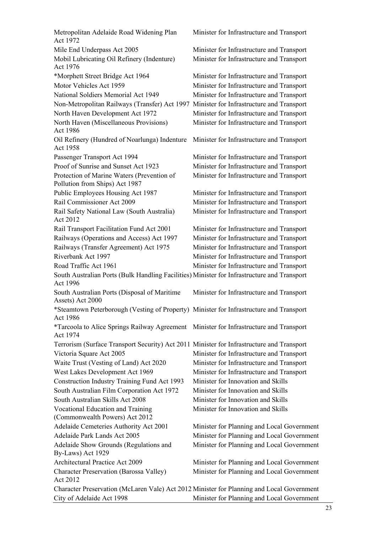| Metropolitan Adelaide Road Widening Plan<br>Act 1972                                                    | Minister for Infrastructure and Transport  |
|---------------------------------------------------------------------------------------------------------|--------------------------------------------|
| Mile End Underpass Act 2005                                                                             | Minister for Infrastructure and Transport  |
| Mobil Lubricating Oil Refinery (Indenture)<br>Act 1976                                                  | Minister for Infrastructure and Transport  |
| *Morphett Street Bridge Act 1964                                                                        | Minister for Infrastructure and Transport  |
| Motor Vehicles Act 1959                                                                                 | Minister for Infrastructure and Transport  |
| National Soldiers Memorial Act 1949                                                                     | Minister for Infrastructure and Transport  |
| Non-Metropolitan Railways (Transfer) Act 1997                                                           | Minister for Infrastructure and Transport  |
| North Haven Development Act 1972                                                                        | Minister for Infrastructure and Transport  |
| North Haven (Miscellaneous Provisions)<br>Act 1986                                                      | Minister for Infrastructure and Transport  |
| Oil Refinery (Hundred of Noarlunga) Indenture<br>Act 1958                                               | Minister for Infrastructure and Transport  |
| Passenger Transport Act 1994                                                                            | Minister for Infrastructure and Transport  |
| Proof of Sunrise and Sunset Act 1923                                                                    | Minister for Infrastructure and Transport  |
| Protection of Marine Waters (Prevention of<br>Pollution from Ships) Act 1987                            | Minister for Infrastructure and Transport  |
| Public Employees Housing Act 1987                                                                       | Minister for Infrastructure and Transport  |
| Rail Commissioner Act 2009                                                                              | Minister for Infrastructure and Transport  |
| Rail Safety National Law (South Australia)<br>Act 2012                                                  | Minister for Infrastructure and Transport  |
| Rail Transport Facilitation Fund Act 2001                                                               | Minister for Infrastructure and Transport  |
| Railways (Operations and Access) Act 1997                                                               | Minister for Infrastructure and Transport  |
| Railways (Transfer Agreement) Act 1975                                                                  | Minister for Infrastructure and Transport  |
| Riverbank Act 1997                                                                                      | Minister for Infrastructure and Transport  |
| Road Traffic Act 1961                                                                                   | Minister for Infrastructure and Transport  |
| South Australian Ports (Bulk Handling Facilities) Minister for Infrastructure and Transport<br>Act 1996 |                                            |
| South Australian Ports (Disposal of Maritime<br>Assets) Act 2000                                        | Minister for Infrastructure and Transport  |
| *Steamtown Peterborough (Vesting of Property) Minister for Infrastructure and Transport<br>Act 1986     |                                            |
| *Tarcoola to Alice Springs Railway Agreement Minister for Infrastructure and Transport<br>Act 1974      |                                            |
| Terrorism (Surface Transport Security) Act 2011 Minister for Infrastructure and Transport               |                                            |
| Victoria Square Act 2005                                                                                | Minister for Infrastructure and Transport  |
| Waite Trust (Vesting of Land) Act 2020                                                                  | Minister for Infrastructure and Transport  |
| West Lakes Development Act 1969                                                                         | Minister for Infrastructure and Transport  |
| <b>Construction Industry Training Fund Act 1993</b>                                                     | Minister for Innovation and Skills         |
| South Australian Film Corporation Act 1972                                                              | Minister for Innovation and Skills         |
| South Australian Skills Act 2008                                                                        | Minister for Innovation and Skills         |
| Vocational Education and Training                                                                       | Minister for Innovation and Skills         |
| (Commonwealth Powers) Act 2012                                                                          |                                            |
| Adelaide Cemeteries Authority Act 2001                                                                  | Minister for Planning and Local Government |
| Adelaide Park Lands Act 2005                                                                            | Minister for Planning and Local Government |
| Adelaide Show Grounds (Regulations and<br>By-Laws) Act 1929                                             | Minister for Planning and Local Government |
| Architectural Practice Act 2009                                                                         | Minister for Planning and Local Government |
| <b>Character Preservation (Barossa Valley)</b><br>Act 2012                                              | Minister for Planning and Local Government |
| Character Preservation (McLaren Vale) Act 2012 Minister for Planning and Local Government               |                                            |
| City of Adelaide Act 1998                                                                               | Minister for Planning and Local Government |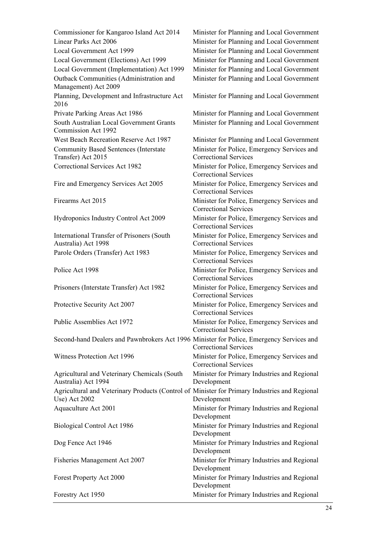| Commissioner for Kangaroo Island Act 2014                                                                      | Minister for Planning and Local Government                                  |
|----------------------------------------------------------------------------------------------------------------|-----------------------------------------------------------------------------|
| Linear Parks Act 2006                                                                                          | Minister for Planning and Local Government                                  |
| Local Government Act 1999                                                                                      | Minister for Planning and Local Government                                  |
| Local Government (Elections) Act 1999                                                                          | Minister for Planning and Local Government                                  |
| Local Government (Implementation) Act 1999                                                                     | Minister for Planning and Local Government                                  |
| Outback Communities (Administration and<br>Management) Act 2009                                                | Minister for Planning and Local Government                                  |
| Planning, Development and Infrastructure Act<br>2016                                                           | Minister for Planning and Local Government                                  |
| Private Parking Areas Act 1986                                                                                 | Minister for Planning and Local Government                                  |
| South Australian Local Government Grants<br><b>Commission Act 1992</b>                                         | Minister for Planning and Local Government                                  |
| <b>West Beach Recreation Reserve Act 1987</b>                                                                  | Minister for Planning and Local Government                                  |
| <b>Community Based Sentences (Interstate</b><br>Transfer) Act 2015                                             | Minister for Police, Emergency Services and<br><b>Correctional Services</b> |
| <b>Correctional Services Act 1982</b>                                                                          | Minister for Police, Emergency Services and<br><b>Correctional Services</b> |
| Fire and Emergency Services Act 2005                                                                           | Minister for Police, Emergency Services and<br><b>Correctional Services</b> |
| Firearms Act 2015                                                                                              | Minister for Police, Emergency Services and<br><b>Correctional Services</b> |
| Hydroponics Industry Control Act 2009                                                                          | Minister for Police, Emergency Services and<br><b>Correctional Services</b> |
| <b>International Transfer of Prisoners (South</b><br>Australia) Act 1998                                       | Minister for Police, Emergency Services and<br><b>Correctional Services</b> |
| Parole Orders (Transfer) Act 1983                                                                              | Minister for Police, Emergency Services and<br><b>Correctional Services</b> |
| Police Act 1998                                                                                                | Minister for Police, Emergency Services and<br><b>Correctional Services</b> |
| Prisoners (Interstate Transfer) Act 1982                                                                       | Minister for Police, Emergency Services and<br><b>Correctional Services</b> |
| Protective Security Act 2007                                                                                   | Minister for Police, Emergency Services and<br>Correctional Services        |
| Public Assemblies Act 1972                                                                                     | Minister for Police, Emergency Services and<br><b>Correctional Services</b> |
| Second-hand Dealers and Pawnbrokers Act 1996 Minister for Police, Emergency Services and                       | <b>Correctional Services</b>                                                |
| <b>Witness Protection Act 1996</b>                                                                             | Minister for Police, Emergency Services and<br><b>Correctional Services</b> |
| Agricultural and Veterinary Chemicals (South<br>Australia) Act 1994                                            | Minister for Primary Industries and Regional<br>Development                 |
| Agricultural and Veterinary Products (Control of Minister for Primary Industries and Regional<br>Use) Act 2002 | Development                                                                 |
| Aquaculture Act 2001                                                                                           | Minister for Primary Industries and Regional<br>Development                 |
| <b>Biological Control Act 1986</b>                                                                             | Minister for Primary Industries and Regional<br>Development                 |
| Dog Fence Act 1946                                                                                             | Minister for Primary Industries and Regional<br>Development                 |
| <b>Fisheries Management Act 2007</b>                                                                           | Minister for Primary Industries and Regional<br>Development                 |
| Forest Property Act 2000                                                                                       | Minister for Primary Industries and Regional<br>Development                 |
| Forestry Act 1950                                                                                              | Minister for Primary Industries and Regional                                |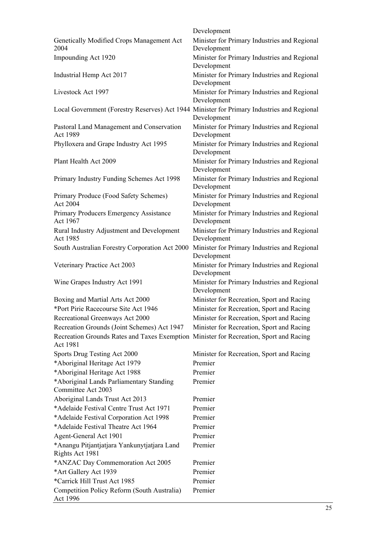|                                                                                                    | Development                                                 |
|----------------------------------------------------------------------------------------------------|-------------------------------------------------------------|
| Genetically Modified Crops Management Act<br>2004                                                  | Minister for Primary Industries and Regional<br>Development |
| Impounding Act 1920                                                                                | Minister for Primary Industries and Regional<br>Development |
| Industrial Hemp Act 2017                                                                           | Minister for Primary Industries and Regional<br>Development |
| Livestock Act 1997                                                                                 | Minister for Primary Industries and Regional<br>Development |
| Local Government (Forestry Reserves) Act 1944 Minister for Primary Industries and Regional         | Development                                                 |
| Pastoral Land Management and Conservation<br>Act 1989                                              | Minister for Primary Industries and Regional<br>Development |
| Phylloxera and Grape Industry Act 1995                                                             | Minister for Primary Industries and Regional<br>Development |
| Plant Health Act 2009                                                                              | Minister for Primary Industries and Regional<br>Development |
| Primary Industry Funding Schemes Act 1998                                                          | Minister for Primary Industries and Regional<br>Development |
| Primary Produce (Food Safety Schemes)<br>Act 2004                                                  | Minister for Primary Industries and Regional<br>Development |
| Primary Producers Emergency Assistance<br>Act 1967                                                 | Minister for Primary Industries and Regional<br>Development |
| Rural Industry Adjustment and Development<br>Act 1985                                              | Minister for Primary Industries and Regional<br>Development |
| South Australian Forestry Corporation Act 2000                                                     | Minister for Primary Industries and Regional<br>Development |
| Veterinary Practice Act 2003                                                                       | Minister for Primary Industries and Regional<br>Development |
| Wine Grapes Industry Act 1991                                                                      | Minister for Primary Industries and Regional<br>Development |
| Boxing and Martial Arts Act 2000                                                                   | Minister for Recreation, Sport and Racing                   |
| *Port Pirie Racecourse Site Act 1946                                                               | Minister for Recreation, Sport and Racing                   |
| Recreational Greenways Act 2000                                                                    | Minister for Recreation, Sport and Racing                   |
| Recreation Grounds (Joint Schemes) Act 1947                                                        | Minister for Recreation, Sport and Racing                   |
| Recreation Grounds Rates and Taxes Exemption Minister for Recreation, Sport and Racing<br>Act 1981 |                                                             |
| Sports Drug Testing Act 2000                                                                       | Minister for Recreation, Sport and Racing                   |
| *Aboriginal Heritage Act 1979                                                                      | Premier                                                     |
| *Aboriginal Heritage Act 1988                                                                      | Premier                                                     |
| *Aboriginal Lands Parliamentary Standing<br>Committee Act 2003                                     | Premier                                                     |
| Aboriginal Lands Trust Act 2013                                                                    | Premier                                                     |
| *Adelaide Festival Centre Trust Act 1971                                                           | Premier                                                     |
| *Adelaide Festival Corporation Act 1998                                                            | Premier                                                     |
| *Adelaide Festival Theatre Act 1964                                                                | Premier                                                     |
| Agent-General Act 1901                                                                             | Premier                                                     |
| *Anangu Pitjantjatjara Yankunytjatjara Land<br>Rights Act 1981                                     | Premier                                                     |
| *ANZAC Day Commemoration Act 2005                                                                  | Premier                                                     |
| *Art Gallery Act 1939                                                                              | Premier                                                     |
| *Carrick Hill Trust Act 1985                                                                       | Premier                                                     |
| Competition Policy Reform (South Australia)<br>Act 1996                                            | Premier                                                     |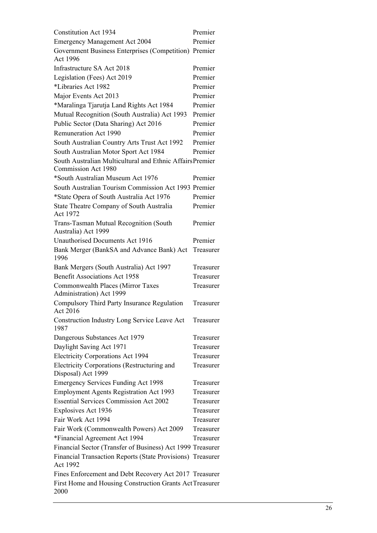| <b>Constitution Act 1934</b>                                                     | Premier   |
|----------------------------------------------------------------------------------|-----------|
| <b>Emergency Management Act 2004</b>                                             | Premier   |
| Government Business Enterprises (Competition)<br>Act 1996                        | Premier   |
| Infrastructure SA Act 2018                                                       | Premier   |
| Legislation (Fees) Act 2019                                                      | Premier   |
| *Libraries Act 1982                                                              | Premier   |
| Major Events Act 2013                                                            | Premier   |
| *Maralinga Tjarutja Land Rights Act 1984                                         | Premier   |
| Mutual Recognition (South Australia) Act 1993                                    | Premier   |
| Public Sector (Data Sharing) Act 2016                                            | Premier   |
| <b>Remuneration Act 1990</b>                                                     | Premier   |
| South Australian Country Arts Trust Act 1992                                     | Premier   |
| South Australian Motor Sport Act 1984                                            | Premier   |
| South Australian Multicultural and Ethnic Affairs Premier<br>Commission Act 1980 |           |
| *South Australian Museum Act 1976                                                | Premier   |
| South Australian Tourism Commission Act 1993 Premier                             |           |
| *State Opera of South Australia Act 1976                                         | Premier   |
| State Theatre Company of South Australia<br>Act 1972                             | Premier   |
| Trans-Tasman Mutual Recognition (South<br>Australia) Act 1999                    | Premier   |
| Unauthorised Documents Act 1916                                                  | Premier   |
| Bank Merger (BankSA and Advance Bank) Act<br>1996                                | Treasurer |
| Bank Mergers (South Australia) Act 1997                                          | Treasurer |
| <b>Benefit Associations Act 1958</b>                                             | Treasurer |
| <b>Commonwealth Places (Mirror Taxes</b><br>Administration) Act 1999             | Treasurer |
| Compulsory Third Party Insurance Regulation<br>Act 2016                          | Treasurer |
| Construction Industry Long Service Leave Act<br>1987                             | Treasurer |
| Dangerous Substances Act 1979                                                    | Treasurer |
| Daylight Saving Act 1971                                                         | Treasurer |
| <b>Electricity Corporations Act 1994</b>                                         | Treasurer |
| Electricity Corporations (Restructuring and<br>Disposal) Act 1999                | Treasurer |
| <b>Emergency Services Funding Act 1998</b>                                       | Treasurer |
| <b>Employment Agents Registration Act 1993</b>                                   | Treasurer |
| <b>Essential Services Commission Act 2002</b>                                    | Treasurer |
| Explosives Act 1936                                                              | Treasurer |
| Fair Work Act 1994                                                               | Treasurer |
| Fair Work (Commonwealth Powers) Act 2009                                         | Treasurer |
| *Financial Agreement Act 1994                                                    | Treasurer |
| Financial Sector (Transfer of Business) Act 1999 Treasurer                       |           |
| Financial Transaction Reports (State Provisions)<br>Act 1992                     | Treasurer |
| Fines Enforcement and Debt Recovery Act 2017 Treasurer                           |           |
| First Home and Housing Construction Grants Act Treasurer<br>2000                 |           |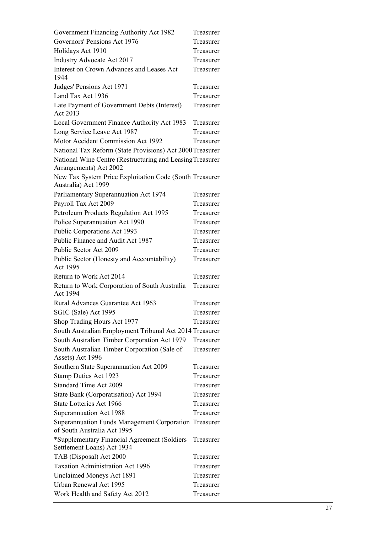| Government Financing Authority Act 1982                                              | Treasurer |
|--------------------------------------------------------------------------------------|-----------|
| Governors' Pensions Act 1976                                                         | Treasurer |
| Holidays Act 1910                                                                    | Treasurer |
| Industry Advocate Act 2017                                                           | Treasurer |
| Interest on Crown Advances and Leases Act<br>1944                                    | Treasurer |
| Judges' Pensions Act 1971                                                            | Treasurer |
| Land Tax Act 1936                                                                    | Treasurer |
| Late Payment of Government Debts (Interest)<br>Act 2013                              | Treasurer |
| Local Government Finance Authority Act 1983                                          | Treasurer |
| Long Service Leave Act 1987                                                          | Treasurer |
| Motor Accident Commission Act 1992                                                   | Treasurer |
| National Tax Reform (State Provisions) Act 2000 Treasurer                            |           |
| National Wine Centre (Restructuring and Leasing Treasurer<br>Arrangements) Act 2002  |           |
| New Tax System Price Exploitation Code (South Treasurer<br>Australia) Act 1999       |           |
| Parliamentary Superannuation Act 1974                                                | Treasurer |
| Payroll Tax Act 2009                                                                 | Treasurer |
| Petroleum Products Regulation Act 1995                                               | Treasurer |
| Police Superannuation Act 1990                                                       | Treasurer |
| Public Corporations Act 1993                                                         | Treasurer |
| Public Finance and Audit Act 1987                                                    | Treasurer |
| Public Sector Act 2009                                                               | Treasurer |
| Public Sector (Honesty and Accountability)<br>Act 1995                               | Treasurer |
| Return to Work Act 2014                                                              | Treasurer |
| Return to Work Corporation of South Australia<br>Act 1994                            | Treasurer |
| Rural Advances Guarantee Act 1963                                                    | Treasurer |
| SGIC (Sale) Act 1995                                                                 | Treasurer |
| Shop Trading Hours Act 1977                                                          | Treasurer |
| South Australian Employment Tribunal Act 2014 Treasurer                              |           |
| South Australian Timber Corporation Act 1979                                         | Treasurer |
| South Australian Timber Corporation (Sale of<br>Assets) Act 1996                     | Treasurer |
| Southern State Superannuation Act 2009                                               | Treasurer |
| Stamp Duties Act 1923                                                                | Treasurer |
| <b>Standard Time Act 2009</b>                                                        | Treasurer |
| State Bank (Corporatisation) Act 1994                                                | Treasurer |
| State Lotteries Act 1966                                                             | Treasurer |
| Superannuation Act 1988                                                              | Treasurer |
| Superannuation Funds Management Corporation Treasurer<br>of South Australia Act 1995 |           |
| *Supplementary Financial Agreement (Soldiers<br>Settlement Loans) Act 1934           | Treasurer |
| TAB (Disposal) Act 2000                                                              | Treasurer |
| <b>Taxation Administration Act 1996</b>                                              | Treasurer |
| Unclaimed Moneys Act 1891                                                            | Treasurer |
| Urban Renewal Act 1995                                                               | Treasurer |
| Work Health and Safety Act 2012                                                      | Treasurer |